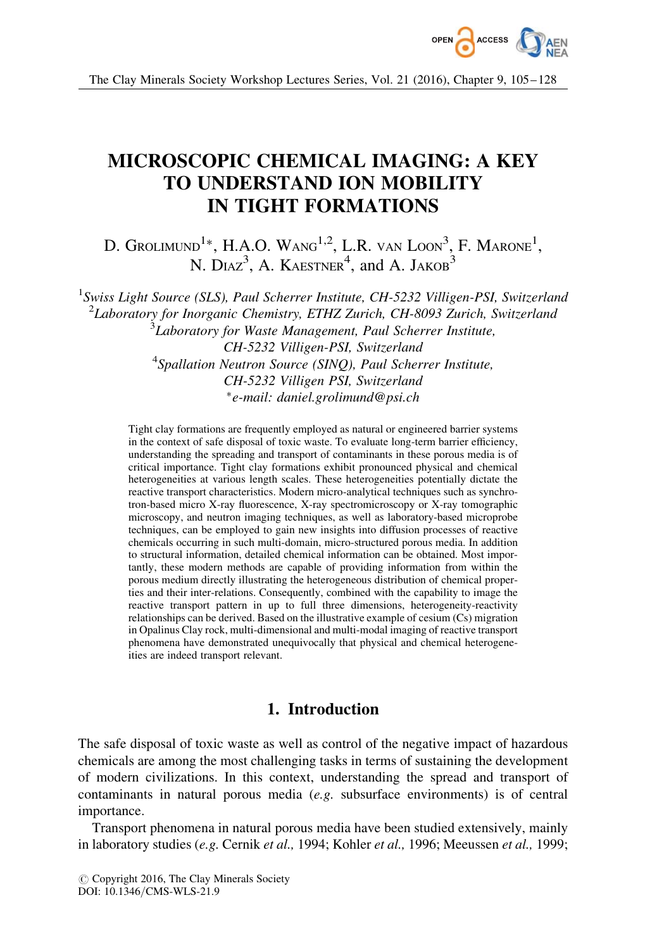

# MICROSCOPIC CHEMICAL IMAGING: A KEY TO UNDERSTAND ION MOBILITY IN TIGHT FORMATIONS

D. Grolimund $^{1*}$ , H.A.O. Wang $^{1,2}$ , L.R. van Loon $^3$ , F. Marone $^1$ , N.  $Diaz^3$ , A. KAESTNER<sup>4</sup>, and A. JAKOB<sup>3</sup>

<sup>1</sup>Swiss Light Source (SLS), Paul Scherrer Institute, CH-5232 Villigen-PSI, Switzerland  $^{2}$ Laboratory for Inorganic Chemistry, ETHZ Zurich, CH-8093 Zurich, Switzerland  ${}^{3}$ Laboratory for Waste Management, Paul Scherrer Institute, CH-5232 Villigen-PSI, Switzerland <sup>4</sup>Spallation Neutron Source (SINQ), Paul Scherrer Institute, CH-5232 Villigen PSI, Switzerland -e-mail: daniel.grolimund@psi.ch

Tight clay formations are frequently employed as natural or engineered barrier systems in the context of safe disposal of toxic waste. To evaluate long-term barrier efficiency, understanding the spreading and transport of contaminants in these porous media is of critical importance. Tight clay formations exhibit pronounced physical and chemical heterogeneities at various length scales. These heterogeneities potentially dictate the reactive transport characteristics. Modern micro-analytical techniques such as synchrotron-based micro X-ray fluorescence, X-ray spectromicroscopy or X-ray tomographic microscopy, and neutron imaging techniques, as well as laboratory-based microprobe techniques, can be employed to gain new insights into diffusion processes of reactive chemicals occurring in such multi-domain, micro-structured porous media. In addition to structural information, detailed chemical information can be obtained. Most importantly, these modern methods are capable of providing information from within the porous medium directly illustrating the heterogeneous distribution of chemical properties and their inter-relations. Consequently, combined with the capability to image the reactive transport pattern in up to full three dimensions, heterogeneity-reactivity relationships can be derived. Based on the illustrative example of cesium (Cs) migration in Opalinus Clay rock, multi-dimensional and multi-modal imaging of reactive transport phenomena have demonstrated unequivocally that physical and chemical heterogeneities are indeed transport relevant.

# 1. Introduction

The safe disposal of toxic waste as well as control of the negative impact of hazardous chemicals are among the most challenging tasks in terms of sustaining the development of modern civilizations. In this context, understanding the spread and transport of contaminants in natural porous media (e.g. subsurface environments) is of central importance.

Transport phenomena in natural porous media have been studied extensively, mainly in laboratory studies  $(e.g.,$  Cernik  $et al.,$  1994; Kohler  $et al.,$  1996; Meeussen  $et al.,$  1999;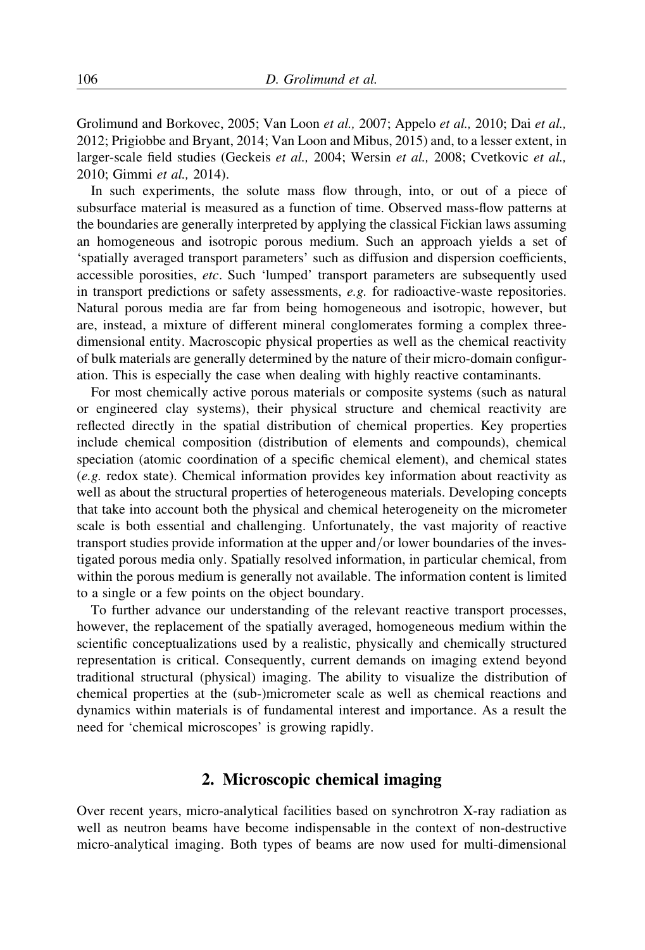Grolimund and Borkovec, 2005; Van Loon et al., 2007; Appelo et al., 2010; Dai et al., 2012; Prigiobbe and Bryant, 2014; Van Loon and Mibus, 2015) and, to a lesser extent, in larger-scale field studies (Geckeis et al., 2004; Wersin et al., 2008; Cvetkovic et al., 2010; Gimmi et al., 2014).

In such experiments, the solute mass flow through, into, or out of a piece of subsurface material is measured as a function of time. Observed mass-flow patterns at the boundaries are generally interpreted by applying the classical Fickian laws assuming an homogeneous and isotropic porous medium. Such an approach yields a set of 'spatially averaged transport parameters' such as diffusion and dispersion coefficients, accessible porosities, etc. Such 'lumped' transport parameters are subsequently used in transport predictions or safety assessments, e.g. for radioactive-waste repositories. Natural porous media are far from being homogeneous and isotropic, however, but are, instead, a mixture of different mineral conglomerates forming a complex threedimensional entity. Macroscopic physical properties as well as the chemical reactivity of bulk materials are generally determined by the nature of their micro-domain configuration. This is especially the case when dealing with highly reactive contaminants.

For most chemically active porous materials or composite systems (such as natural or engineered clay systems), their physical structure and chemical reactivity are reflected directly in the spatial distribution of chemical properties. Key properties include chemical composition (distribution of elements and compounds), chemical speciation (atomic coordination of a specific chemical element), and chemical states (e.g. redox state). Chemical information provides key information about reactivity as well as about the structural properties of heterogeneous materials. Developing concepts that take into account both the physical and chemical heterogeneity on the micrometer scale is both essential and challenging. Unfortunately, the vast majority of reactive transport studies provide information at the upper and/or lower boundaries of the investigated porous media only. Spatially resolved information, in particular chemical, from within the porous medium is generally not available. The information content is limited to a single or a few points on the object boundary.

To further advance our understanding of the relevant reactive transport processes, however, the replacement of the spatially averaged, homogeneous medium within the scientific conceptualizations used by a realistic, physically and chemically structured representation is critical. Consequently, current demands on imaging extend beyond traditional structural (physical) imaging. The ability to visualize the distribution of chemical properties at the (sub-)micrometer scale as well as chemical reactions and dynamics within materials is of fundamental interest and importance. As a result the need for 'chemical microscopes' is growing rapidly.

# 2. Microscopic chemical imaging

Over recent years, micro-analytical facilities based on synchrotron X-ray radiation as well as neutron beams have become indispensable in the context of non-destructive micro-analytical imaging. Both types of beams are now used for multi-dimensional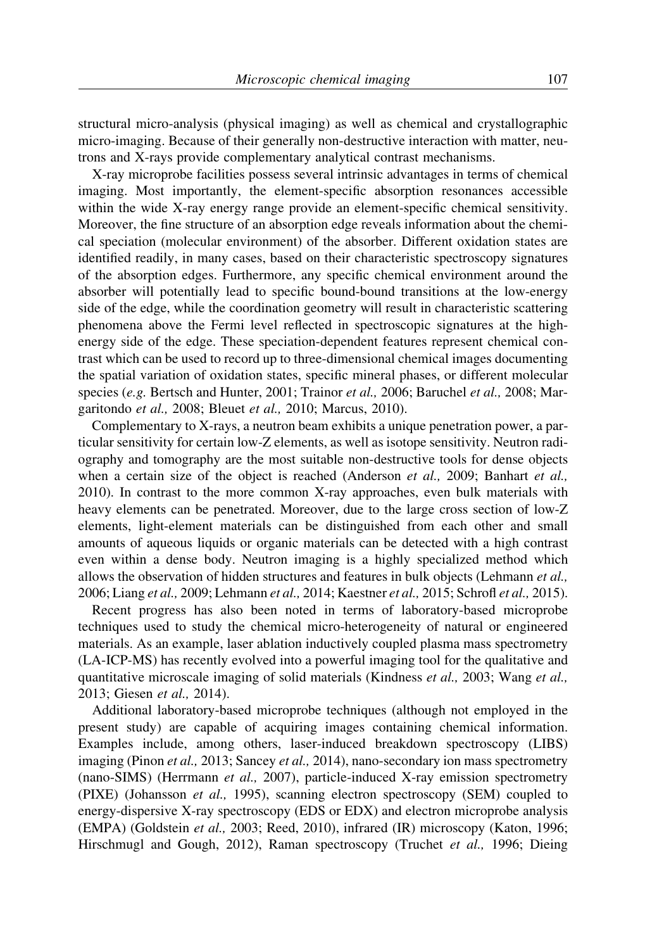structural micro-analysis (physical imaging) as well as chemical and crystallographic micro-imaging. Because of their generally non-destructive interaction with matter, neutrons and X-rays provide complementary analytical contrast mechanisms.

X-ray microprobe facilities possess several intrinsic advantages in terms of chemical imaging. Most importantly, the element-specific absorption resonances accessible within the wide X-ray energy range provide an element-specific chemical sensitivity. Moreover, the fine structure of an absorption edge reveals information about the chemical speciation (molecular environment) of the absorber. Different oxidation states are identified readily, in many cases, based on their characteristic spectroscopy signatures of the absorption edges. Furthermore, any specific chemical environment around the absorber will potentially lead to specific bound-bound transitions at the low-energy side of the edge, while the coordination geometry will result in characteristic scattering phenomena above the Fermi level reflected in spectroscopic signatures at the highenergy side of the edge. These speciation-dependent features represent chemical contrast which can be used to record up to three-dimensional chemical images documenting the spatial variation of oxidation states, specific mineral phases, or different molecular species (e.g. Bertsch and Hunter, 2001; Trainor et al., 2006; Baruchel et al., 2008; Margaritondo et al., 2008; Bleuet et al., 2010; Marcus, 2010).

Complementary to X-rays, a neutron beam exhibits a unique penetration power, a particular sensitivity for certain low-Z elements, as well as isotope sensitivity. Neutron radiography and tomography are the most suitable non-destructive tools for dense objects when a certain size of the object is reached (Anderson *et al.*, 2009; Banhart *et al.*, 2010). In contrast to the more common X-ray approaches, even bulk materials with heavy elements can be penetrated. Moreover, due to the large cross section of low-Z elements, light-element materials can be distinguished from each other and small amounts of aqueous liquids or organic materials can be detected with a high contrast even within a dense body. Neutron imaging is a highly specialized method which allows the observation of hidden structures and features in bulk objects (Lehmann *et al.*, 2006; Liang et al., 2009; Lehmann et al., 2014; Kaestner et al., 2015; Schrofl et al., 2015).

Recent progress has also been noted in terms of laboratory-based microprobe techniques used to study the chemical micro-heterogeneity of natural or engineered materials. As an example, laser ablation inductively coupled plasma mass spectrometry (LA-ICP-MS) has recently evolved into a powerful imaging tool for the qualitative and quantitative microscale imaging of solid materials (Kindness et al., 2003; Wang et al., 2013; Giesen et al., 2014).

Additional laboratory-based microprobe techniques (although not employed in the present study) are capable of acquiring images containing chemical information. Examples include, among others, laser-induced breakdown spectroscopy (LIBS) imaging (Pinon et al., 2013; Sancey et al., 2014), nano-secondary ion mass spectrometry (nano-SIMS) (Herrmann et al., 2007), particle-induced X-ray emission spectrometry (PIXE) (Johansson et al., 1995), scanning electron spectroscopy (SEM) coupled to energy-dispersive X-ray spectroscopy (EDS or EDX) and electron microprobe analysis (EMPA) (Goldstein et al., 2003; Reed, 2010), infrared (IR) microscopy (Katon, 1996; Hirschmugl and Gough, 2012), Raman spectroscopy (Truchet et al., 1996; Dieing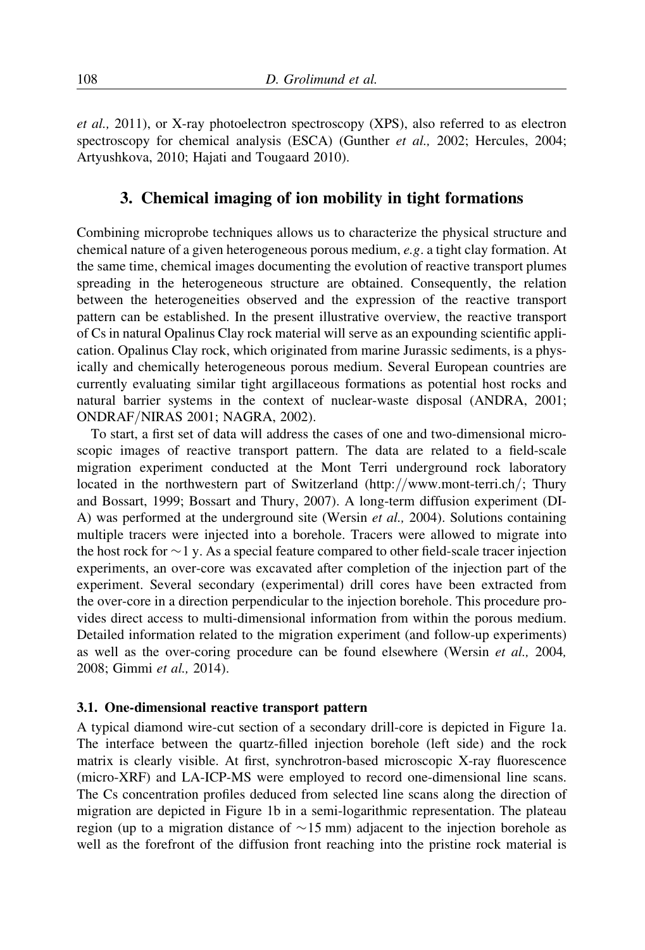et al., 2011), or X-ray photoelectron spectroscopy (XPS), also referred to as electron spectroscopy for chemical analysis (ESCA) (Gunther *et al.*, 2002; Hercules, 2004; Artyushkova, 2010; Hajati and Tougaard 2010).

# 3. Chemical imaging of ion mobility in tight formations

Combining microprobe techniques allows us to characterize the physical structure and chemical nature of a given heterogeneous porous medium, e.g. a tight clay formation. At the same time, chemical images documenting the evolution of reactive transport plumes spreading in the heterogeneous structure are obtained. Consequently, the relation between the heterogeneities observed and the expression of the reactive transport pattern can be established. In the present illustrative overview, the reactive transport of Cs in natural Opalinus Clay rock material will serve as an expounding scientific application. Opalinus Clay rock, which originated from marine Jurassic sediments, is a physically and chemically heterogeneous porous medium. Several European countries are currently evaluating similar tight argillaceous formations as potential host rocks and natural barrier systems in the context of nuclear-waste disposal (ANDRA, 2001; ONDRAF/NIRAS 2001; NAGRA, 2002).

To start, a first set of data will address the cases of one and two-dimensional microscopic images of reactive transport pattern. The data are related to a field-scale migration experiment conducted at the Mont Terri underground rock laboratory located in the northwestern part of Switzerland (http://www.mont-terri.ch/; Thury and Bossart, 1999; Bossart and Thury, 2007). A long-term diffusion experiment (DI-A) was performed at the underground site (Wersin et al., 2004). Solutions containing multiple tracers were injected into a borehole. Tracers were allowed to migrate into the host rock for  $\sim$  1 y. As a special feature compared to other field-scale tracer injection experiments, an over-core was excavated after completion of the injection part of the experiment. Several secondary (experimental) drill cores have been extracted from the over-core in a direction perpendicular to the injection borehole. This procedure provides direct access to multi-dimensional information from within the porous medium. Detailed information related to the migration experiment (and follow-up experiments) as well as the over-coring procedure can be found elsewhere (Wersin *et al.*, 2004, 2008; Gimmi et al., 2014).

### 3.1. One-dimensional reactive transport pattern

A typical diamond wire-cut section of a secondary drill-core is depicted in Figure 1a. The interface between the quartz-filled injection borehole (left side) and the rock matrix is clearly visible. At first, synchrotron-based microscopic X-ray fluorescence (micro-XRF) and LA-ICP-MS were employed to record one-dimensional line scans. The Cs concentration profiles deduced from selected line scans along the direction of migration are depicted in Figure 1b in a semi-logarithmic representation. The plateau region (up to a migration distance of  $\sim$  15 mm) adjacent to the injection borehole as well as the forefront of the diffusion front reaching into the pristine rock material is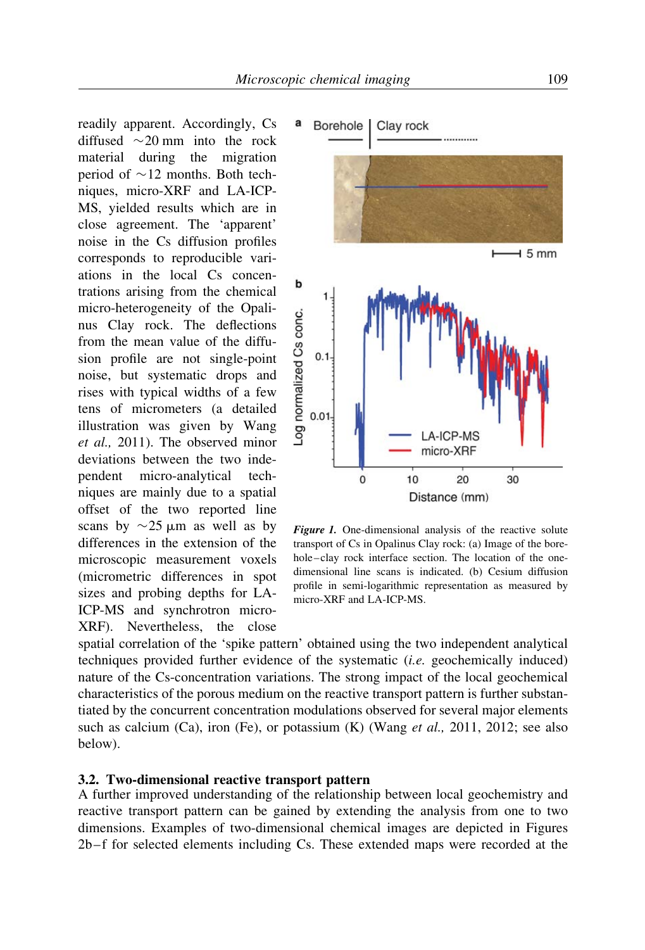readily apparent. Accordingly, Cs diffused  $\sim$  20 mm into the rock material during the migration period of  $\sim$ 12 months. Both techniques, micro-XRF and LA-ICP-MS, yielded results which are in close agreement. The 'apparent' noise in the Cs diffusion profiles corresponds to reproducible variations in the local Cs concentrations arising from the chemical micro-heterogeneity of the Opalinus Clay rock. The deflections from the mean value of the diffusion profile are not single-point noise, but systematic drops and rises with typical widths of a few tens of micrometers (a detailed illustration was given by Wang et al., 2011). The observed minor deviations between the two independent micro-analytical techniques are mainly due to a spatial offset of the two reported line scans by  $\sim$  25  $\mu$ m as well as by differences in the extension of the microscopic measurement voxels (micrometric differences in spot sizes and probing depths for LA-ICP-MS and synchrotron micro-XRF). Nevertheless, the close



Figure 1. One-dimensional analysis of the reactive solute transport of Cs in Opalinus Clay rock: (a) Image of the borehole–clay rock interface section. The location of the onedimensional line scans is indicated. (b) Cesium diffusion profile in semi-logarithmic representation as measured by micro-XRF and LA-ICP-MS.

spatial correlation of the 'spike pattern' obtained using the two independent analytical techniques provided further evidence of the systematic (i.e. geochemically induced) nature of the Cs-concentration variations. The strong impact of the local geochemical characteristics of the porous medium on the reactive transport pattern is further substantiated by the concurrent concentration modulations observed for several major elements such as calcium (Ca), iron (Fe), or potassium (K) (Wang *et al.*, 2011, 2012; see also below).

#### 3.2. Two-dimensional reactive transport pattern

A further improved understanding of the relationship between local geochemistry and reactive transport pattern can be gained by extending the analysis from one to two dimensions. Examples of two-dimensional chemical images are depicted in Figures 2b– f for selected elements including Cs. These extended maps were recorded at the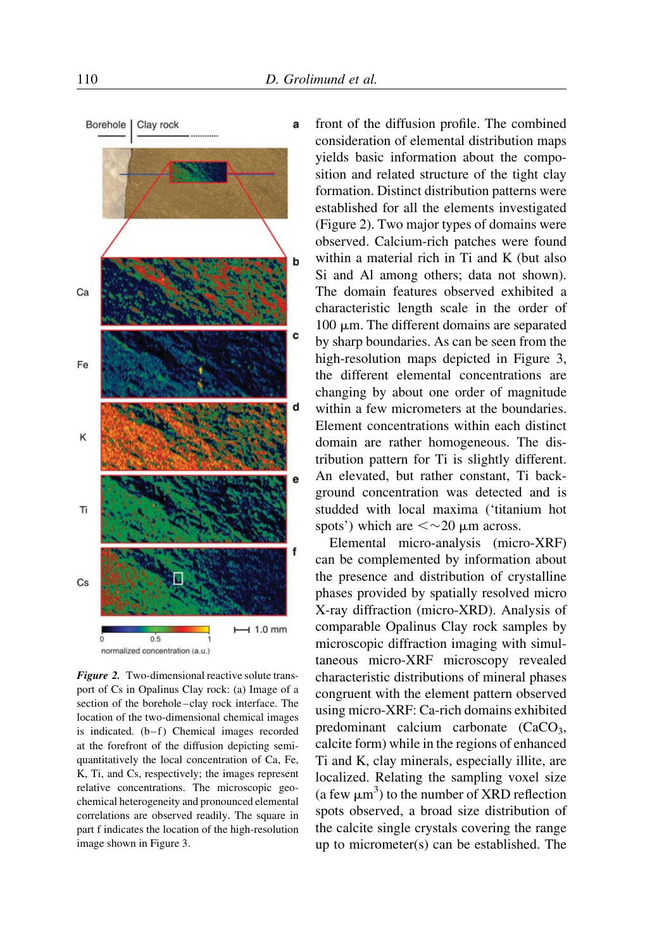

Figure 2. Two-dimensional reactive solute transport of Cs in Opalinus Clay rock: (a) Image of a section of the borehole-clay rock interface. The location of the two-dimensional chemical images is indicated.  $(b-f)$  Chemical images recorded at the forefront of the diffusion depicting semiquantitatively the local concentration of Ca, Fe, K, Ti, and Cs, respectively; the images represent relative concentrations. The microscopic geochemical heterogeneity and pronounced elemental correlations are observed readily. The square in part f indicates the location of the high-resolution image shown in Figure 3.

front of the diffusion profile. The combined consideration of elemental distribution maps yields basic information about the composition and related structure of the tight clay formation. Distinct distribution patterns were established for all the elements investigated (Figure 2). Two major types of domains were observed. Calcium-rich patches were found within a material rich in Ti and K (but also Si and Al among others; data not shown). The domain features observed exhibited a characteristic length scale in the order of  $100 \mu m$ . The different domains are separated by sharp boundaries. As can be seen from the high-resolution maps depicted in Figure 3, the different elemental concentrations are changing by about one order of magnitude within a few micrometers at the boundaries. Element concentrations within each distinct domain are rather homogeneous. The distribution pattern for Ti is slightly different. An elevated, but rather constant, Ti background concentration was detected and is studded with local maxima ('titanium hot spots') which are  $\langle \sim 20 \text{ }\mu \text{m}$  across.

Elemental micro-analysis (micro-XRF) can be complemented by information about the presence and distribution of crystalline phases provided by spatially resolved micro X-ray diffraction (micro-XRD). Analysis of comparable Opalinus Clay rock samples by microscopic diffraction imaging with simultaneous micro-XRF microscopy revealed characteristic distributions of mineral phases congruent with the element pattern observed using micro-XRF: Ca-rich domains exhibited predominant calcium carbonate  $(CaCO<sub>3</sub>)$ , calcite form) while in the regions of enhanced Ti and K, clay minerals, especially illite, are localized. Relating the sampling voxel size (a few  $\mu$ m<sup>3</sup>) to the number of XRD reflection spots observed, a broad size distribution of the calcite single crystals covering the range up to micrometer(s) can be established. The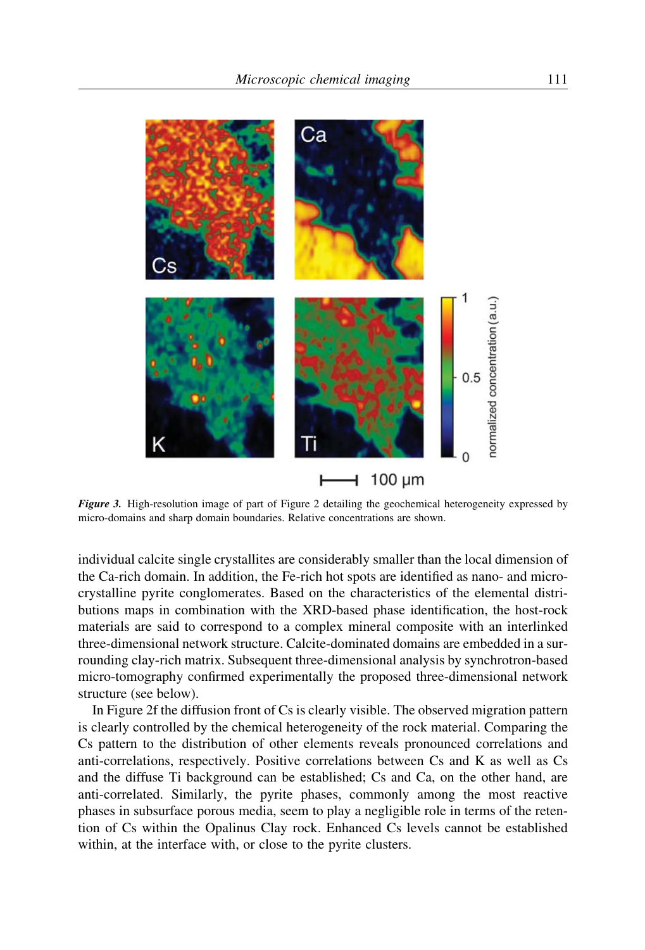

Figure 3. High-resolution image of part of Figure 2 detailing the geochemical heterogeneity expressed by micro-domains and sharp domain boundaries. Relative concentrations are shown.

individual calcite single crystallites are considerably smaller than the local dimension of the Ca-rich domain. In addition, the Fe-rich hot spots are identified as nano- and microcrystalline pyrite conglomerates. Based on the characteristics of the elemental distributions maps in combination with the XRD-based phase identification, the host-rock materials are said to correspond to a complex mineral composite with an interlinked three-dimensional network structure. Calcite-dominated domains are embedded in a surrounding clay-rich matrix. Subsequent three-dimensional analysis by synchrotron-based micro-tomography confirmed experimentally the proposed three-dimensional network structure (see below).

In Figure 2f the diffusion front of Cs is clearly visible. The observed migration pattern is clearly controlled by the chemical heterogeneity of the rock material. Comparing the Cs pattern to the distribution of other elements reveals pronounced correlations and anti-correlations, respectively. Positive correlations between Cs and K as well as Cs and the diffuse Ti background can be established; Cs and Ca, on the other hand, are anti-correlated. Similarly, the pyrite phases, commonly among the most reactive phases in subsurface porous media, seem to play a negligible role in terms of the retention of Cs within the Opalinus Clay rock. Enhanced Cs levels cannot be established within, at the interface with, or close to the pyrite clusters.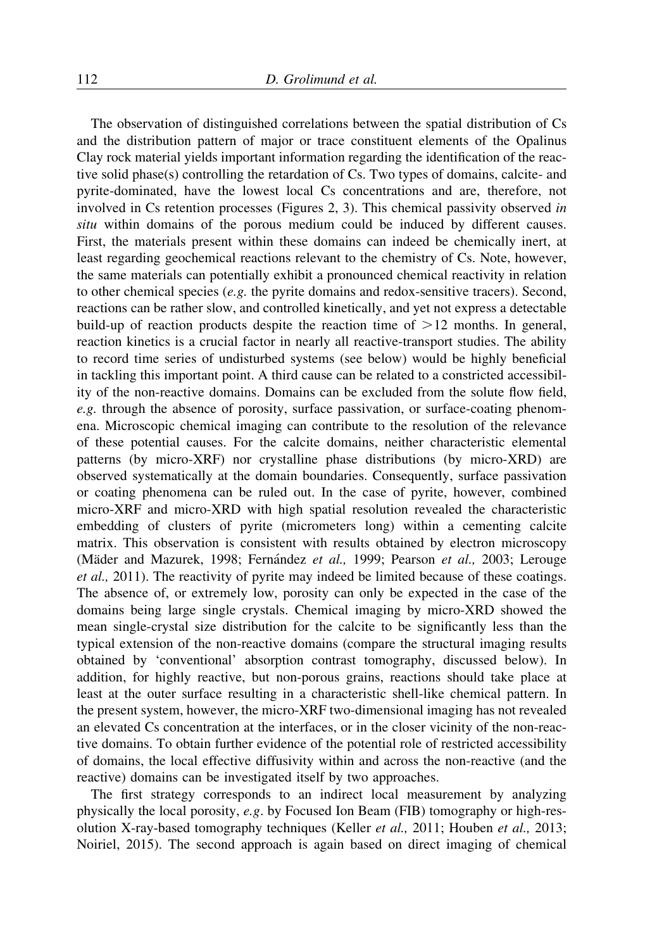The observation of distinguished correlations between the spatial distribution of Cs and the distribution pattern of major or trace constituent elements of the Opalinus Clay rock material yields important information regarding the identification of the reactive solid phase(s) controlling the retardation of Cs. Two types of domains, calcite- and pyrite-dominated, have the lowest local Cs concentrations and are, therefore, not involved in Cs retention processes (Figures 2, 3). This chemical passivity observed in situ within domains of the porous medium could be induced by different causes. First, the materials present within these domains can indeed be chemically inert, at least regarding geochemical reactions relevant to the chemistry of Cs. Note, however, the same materials can potentially exhibit a pronounced chemical reactivity in relation to other chemical species (e.g. the pyrite domains and redox-sensitive tracers). Second, reactions can be rather slow, and controlled kinetically, and yet not express a detectable build-up of reaction products despite the reaction time of  $>12$  months. In general, reaction kinetics is a crucial factor in nearly all reactive-transport studies. The ability to record time series of undisturbed systems (see below) would be highly beneficial in tackling this important point. A third cause can be related to a constricted accessibility of the non-reactive domains. Domains can be excluded from the solute flow field, e.g. through the absence of porosity, surface passivation, or surface-coating phenomena. Microscopic chemical imaging can contribute to the resolution of the relevance of these potential causes. For the calcite domains, neither characteristic elemental patterns (by micro-XRF) nor crystalline phase distributions (by micro-XRD) are observed systematically at the domain boundaries. Consequently, surface passivation or coating phenomena can be ruled out. In the case of pyrite, however, combined micro-XRF and micro-XRD with high spatial resolution revealed the characteristic embedding of clusters of pyrite (micrometers long) within a cementing calcite matrix. This observation is consistent with results obtained by electron microscopy (Mäder and Mazurek, 1998; Fernández et al., 1999; Pearson et al., 2003; Lerouge et al., 2011). The reactivity of pyrite may indeed be limited because of these coatings. The absence of, or extremely low, porosity can only be expected in the case of the domains being large single crystals. Chemical imaging by micro-XRD showed the mean single-crystal size distribution for the calcite to be significantly less than the typical extension of the non-reactive domains (compare the structural imaging results obtained by 'conventional' absorption contrast tomography, discussed below). In addition, for highly reactive, but non-porous grains, reactions should take place at least at the outer surface resulting in a characteristic shell-like chemical pattern. In the present system, however, the micro-XRF two-dimensional imaging has not revealed an elevated Cs concentration at the interfaces, or in the closer vicinity of the non-reactive domains. To obtain further evidence of the potential role of restricted accessibility of domains, the local effective diffusivity within and across the non-reactive (and the reactive) domains can be investigated itself by two approaches.

The first strategy corresponds to an indirect local measurement by analyzing physically the local porosity, e.g. by Focused Ion Beam (FIB) tomography or high-resolution X-ray-based tomography techniques (Keller et al., 2011; Houben et al., 2013; Noiriel, 2015). The second approach is again based on direct imaging of chemical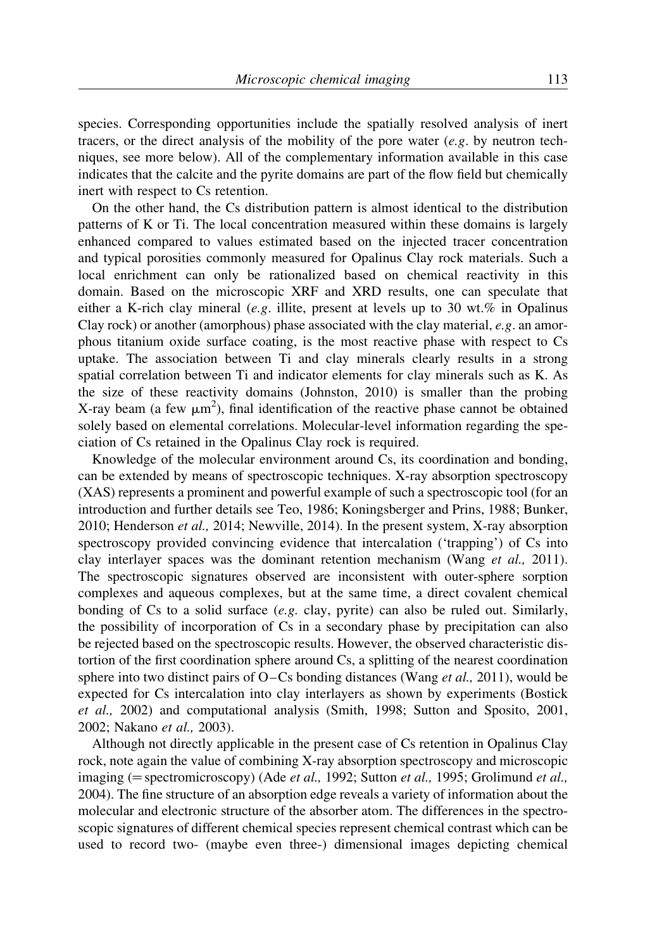species. Corresponding opportunities include the spatially resolved analysis of inert tracers, or the direct analysis of the mobility of the pore water  $(e, g)$ . by neutron techniques, see more below). All of the complementary information available in this case indicates that the calcite and the pyrite domains are part of the flow field but chemically inert with respect to Cs retention.

On the other hand, the Cs distribution pattern is almost identical to the distribution patterns of K or Ti. The local concentration measured within these domains is largely enhanced compared to values estimated based on the injected tracer concentration and typical porosities commonly measured for Opalinus Clay rock materials. Such a local enrichment can only be rationalized based on chemical reactivity in this domain. Based on the microscopic XRF and XRD results, one can speculate that either a K-rich clay mineral (e.g. illite, present at levels up to 30 wt.% in Opalinus Clay rock) or another (amorphous) phase associated with the clay material,  $e.g.$  an amorphous titanium oxide surface coating, is the most reactive phase with respect to Cs uptake. The association between Ti and clay minerals clearly results in a strong spatial correlation between Ti and indicator elements for clay minerals such as K. As the size of these reactivity domains (Johnston, 2010) is smaller than the probing X-ray beam (a few  $\mu$ m<sup>2</sup>), final identification of the reactive phase cannot be obtained solely based on elemental correlations. Molecular-level information regarding the speciation of Cs retained in the Opalinus Clay rock is required.

Knowledge of the molecular environment around Cs, its coordination and bonding, can be extended by means of spectroscopic techniques. X-ray absorption spectroscopy (XAS) represents a prominent and powerful example of such a spectroscopic tool (for an introduction and further details see Teo, 1986; Koningsberger and Prins, 1988; Bunker, 2010; Henderson et al., 2014; Newville, 2014). In the present system, X-ray absorption spectroscopy provided convincing evidence that intercalation ('trapping') of Cs into clay interlayer spaces was the dominant retention mechanism (Wang et al., 2011). The spectroscopic signatures observed are inconsistent with outer-sphere sorption complexes and aqueous complexes, but at the same time, a direct covalent chemical bonding of Cs to a solid surface  $(e, g, \text{clay}, \text{pyrite})$  can also be ruled out. Similarly, the possibility of incorporation of Cs in a secondary phase by precipitation can also be rejected based on the spectroscopic results. However, the observed characteristic distortion of the first coordination sphere around Cs, a splitting of the nearest coordination sphere into two distinct pairs of  $O$ –Cs bonding distances (Wang *et al.*, 2011), would be expected for Cs intercalation into clay interlayers as shown by experiments (Bostick et al., 2002) and computational analysis (Smith, 1998; Sutton and Sposito, 2001, 2002; Nakano et al., 2003).

Although not directly applicable in the present case of Cs retention in Opalinus Clay rock, note again the value of combining X-ray absorption spectroscopy and microscopic imaging ( $=$  spectromicroscopy) (Ade *et al.*, 1992; Sutton *et al.*, 1995; Grolimund *et al.*, 2004). The fine structure of an absorption edge reveals a variety of information about the molecular and electronic structure of the absorber atom. The differences in the spectroscopic signatures of different chemical species represent chemical contrast which can be used to record two- (maybe even three-) dimensional images depicting chemical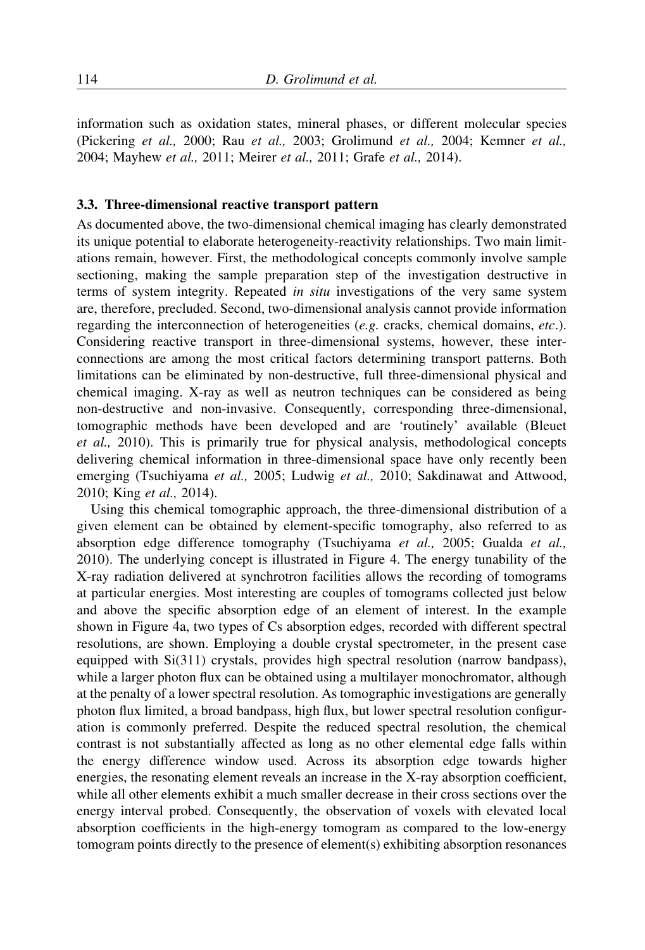information such as oxidation states, mineral phases, or different molecular species (Pickering et al., 2000; Rau et al., 2003; Grolimund et al., 2004; Kemner et al., 2004; Mayhew et al., 2011; Meirer et al., 2011; Grafe et al., 2014).

#### 3.3. Three-dimensional reactive transport pattern

As documented above, the two-dimensional chemical imaging has clearly demonstrated its unique potential to elaborate heterogeneity-reactivity relationships. Two main limitations remain, however. First, the methodological concepts commonly involve sample sectioning, making the sample preparation step of the investigation destructive in terms of system integrity. Repeated in situ investigations of the very same system are, therefore, precluded. Second, two-dimensional analysis cannot provide information regarding the interconnection of heterogeneities (e.g. cracks, chemical domains,  $etc.$ ). Considering reactive transport in three-dimensional systems, however, these interconnections are among the most critical factors determining transport patterns. Both limitations can be eliminated by non-destructive, full three-dimensional physical and chemical imaging. X-ray as well as neutron techniques can be considered as being non-destructive and non-invasive. Consequently, corresponding three-dimensional, tomographic methods have been developed and are 'routinely' available (Bleuet et al., 2010). This is primarily true for physical analysis, methodological concepts delivering chemical information in three-dimensional space have only recently been emerging (Tsuchiyama et al., 2005; Ludwig et al., 2010; Sakdinawat and Attwood, 2010; King et al., 2014).

Using this chemical tomographic approach, the three-dimensional distribution of a given element can be obtained by element-specific tomography, also referred to as absorption edge difference tomography (Tsuchiyama et al., 2005; Gualda et al., 2010). The underlying concept is illustrated in Figure 4. The energy tunability of the X-ray radiation delivered at synchrotron facilities allows the recording of tomograms at particular energies. Most interesting are couples of tomograms collected just below and above the specific absorption edge of an element of interest. In the example shown in Figure 4a, two types of Cs absorption edges, recorded with different spectral resolutions, are shown. Employing a double crystal spectrometer, in the present case equipped with Si(311) crystals, provides high spectral resolution (narrow bandpass), while a larger photon flux can be obtained using a multilayer monochromator, although at the penalty of a lower spectral resolution. As tomographic investigations are generally photon flux limited, a broad bandpass, high flux, but lower spectral resolution configuration is commonly preferred. Despite the reduced spectral resolution, the chemical contrast is not substantially affected as long as no other elemental edge falls within the energy difference window used. Across its absorption edge towards higher energies, the resonating element reveals an increase in the X-ray absorption coefficient, while all other elements exhibit a much smaller decrease in their cross sections over the energy interval probed. Consequently, the observation of voxels with elevated local absorption coefficients in the high-energy tomogram as compared to the low-energy tomogram points directly to the presence of element(s) exhibiting absorption resonances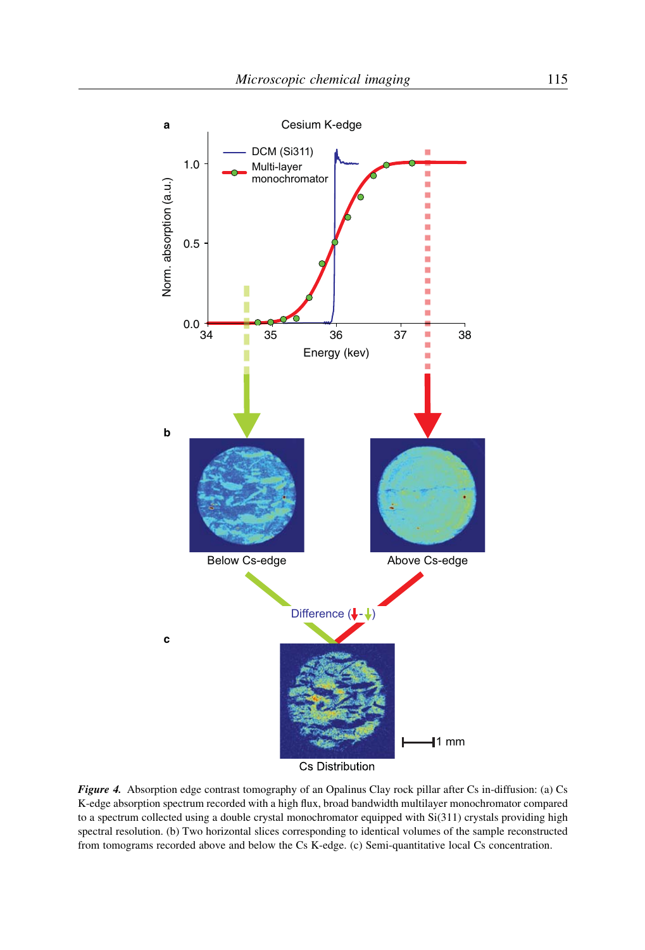

Figure 4. Absorption edge contrast tomography of an Opalinus Clay rock pillar after Cs in-diffusion: (a) Cs K-edge absorption spectrum recorded with a high flux, broad bandwidth multilayer monochromator compared to a spectrum collected using a double crystal monochromator equipped with Si(311) crystals providing high spectral resolution. (b) Two horizontal slices corresponding to identical volumes of the sample reconstructed from tomograms recorded above and below the Cs K-edge. (c) Semi-quantitative local Cs concentration.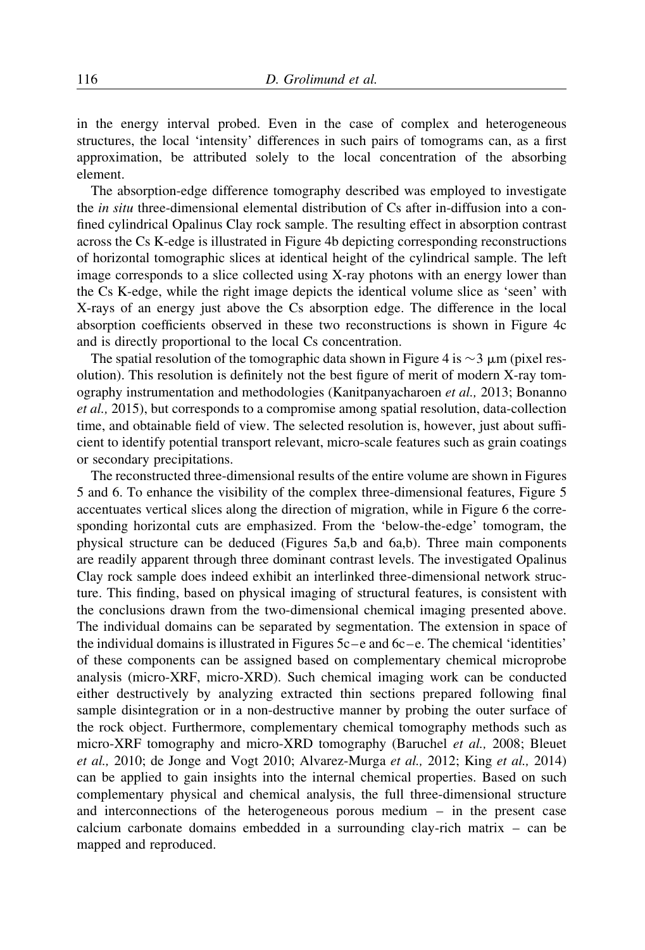in the energy interval probed. Even in the case of complex and heterogeneous structures, the local 'intensity' differences in such pairs of tomograms can, as a first approximation, be attributed solely to the local concentration of the absorbing element.

The absorption-edge difference tomography described was employed to investigate the in situ three-dimensional elemental distribution of Cs after in-diffusion into a confined cylindrical Opalinus Clay rock sample. The resulting effect in absorption contrast across the Cs K-edge is illustrated in Figure 4b depicting corresponding reconstructions of horizontal tomographic slices at identical height of the cylindrical sample. The left image corresponds to a slice collected using X-ray photons with an energy lower than the Cs K-edge, while the right image depicts the identical volume slice as 'seen' with X-rays of an energy just above the Cs absorption edge. The difference in the local absorption coefficients observed in these two reconstructions is shown in Figure 4c and is directly proportional to the local Cs concentration.

The spatial resolution of the tomographic data shown in Figure 4 is  $\sim$  3  $\mu$ m (pixel resolution). This resolution is definitely not the best figure of merit of modern X-ray tomography instrumentation and methodologies (Kanitpanyacharoen et al., 2013; Bonanno et al., 2015), but corresponds to a compromise among spatial resolution, data-collection time, and obtainable field of view. The selected resolution is, however, just about sufficient to identify potential transport relevant, micro-scale features such as grain coatings or secondary precipitations.

The reconstructed three-dimensional results of the entire volume are shown in Figures 5 and 6. To enhance the visibility of the complex three-dimensional features, Figure 5 accentuates vertical slices along the direction of migration, while in Figure 6 the corresponding horizontal cuts are emphasized. From the 'below-the-edge' tomogram, the physical structure can be deduced (Figures 5a,b and 6a,b). Three main components are readily apparent through three dominant contrast levels. The investigated Opalinus Clay rock sample does indeed exhibit an interlinked three-dimensional network structure. This finding, based on physical imaging of structural features, is consistent with the conclusions drawn from the two-dimensional chemical imaging presented above. The individual domains can be separated by segmentation. The extension in space of the individual domains is illustrated in Figures  $5c - e$  and  $6c - e$ . The chemical 'identities' of these components can be assigned based on complementary chemical microprobe analysis (micro-XRF, micro-XRD). Such chemical imaging work can be conducted either destructively by analyzing extracted thin sections prepared following final sample disintegration or in a non-destructive manner by probing the outer surface of the rock object. Furthermore, complementary chemical tomography methods such as micro-XRF tomography and micro-XRD tomography (Baruchel et al., 2008; Bleuet et al., 2010; de Jonge and Vogt 2010; Alvarez-Murga et al., 2012; King et al., 2014) can be applied to gain insights into the internal chemical properties. Based on such complementary physical and chemical analysis, the full three-dimensional structure and interconnections of the heterogeneous porous medium – in the present case calcium carbonate domains embedded in a surrounding clay-rich matrix – can be mapped and reproduced.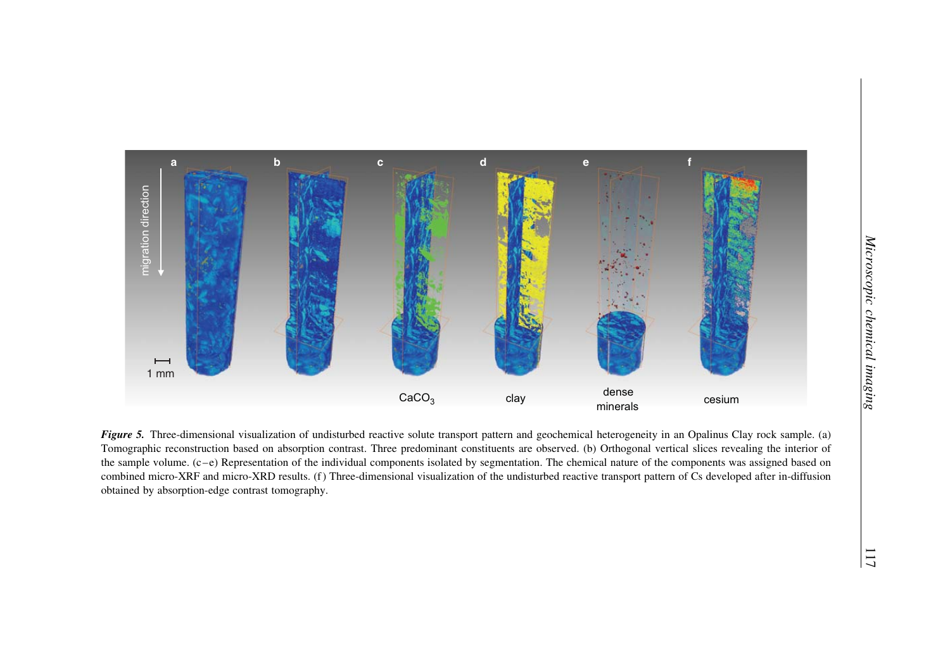

Figure 5. Three-dimensional visualization of undisturbed reactive solute transport pattern and geochemical heterogeneity in an Opalinus Clay rock sample. (a) Tomographic reconstruction based on absorption contrast. Three predominant constituents are observed. (b) Orthogonal vertical slices revealing the interior of the sample volume. (c-e) Representation of the individual components isolated by segmentation. The chemical nature of the components was assigned based on combined micro-XRF and micro-XRD results. (f) Three-dimensional visualization of the undisturbed reactive transport pattern of Cs developed after in-diffusion obtained by absorption-edge contrast tomography.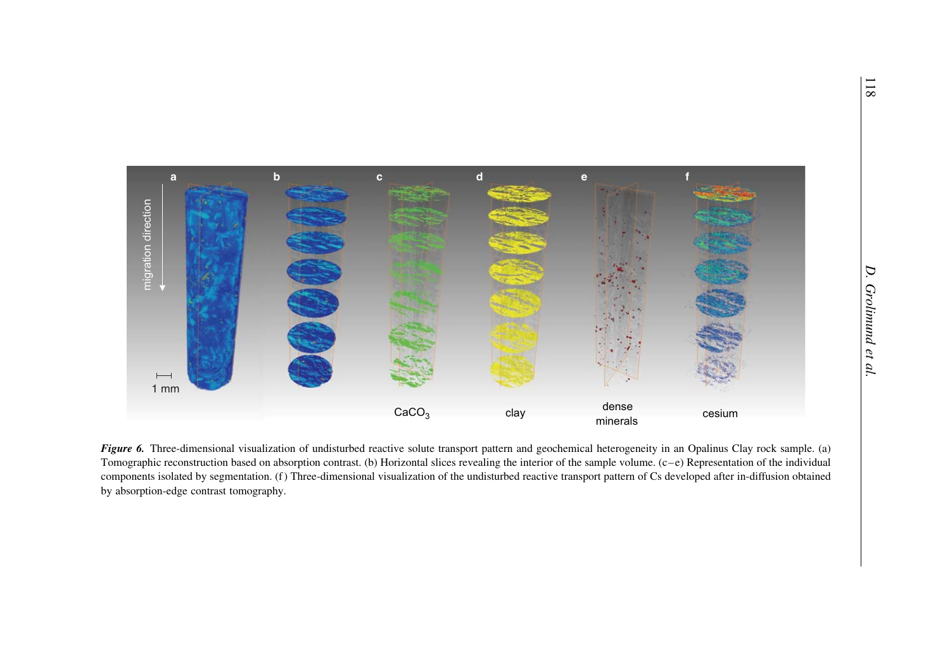

Figure 6. Three-dimensional visualization of undisturbed reactive solute transport pattern and geochemical heterogeneity in an Opalinus Clay rock sample. (a) Tomographic reconstruction based on absorption contrast. (b) Horizontal slices revealing the interior of the sample volume. (c–e) Representation of the individual components isolated by segmentation. (f) Three-dimensional visualization of the undisturbed reactive transport pattern of Cs developed after in-diffusion obtained by absorption-edge contrast tomography.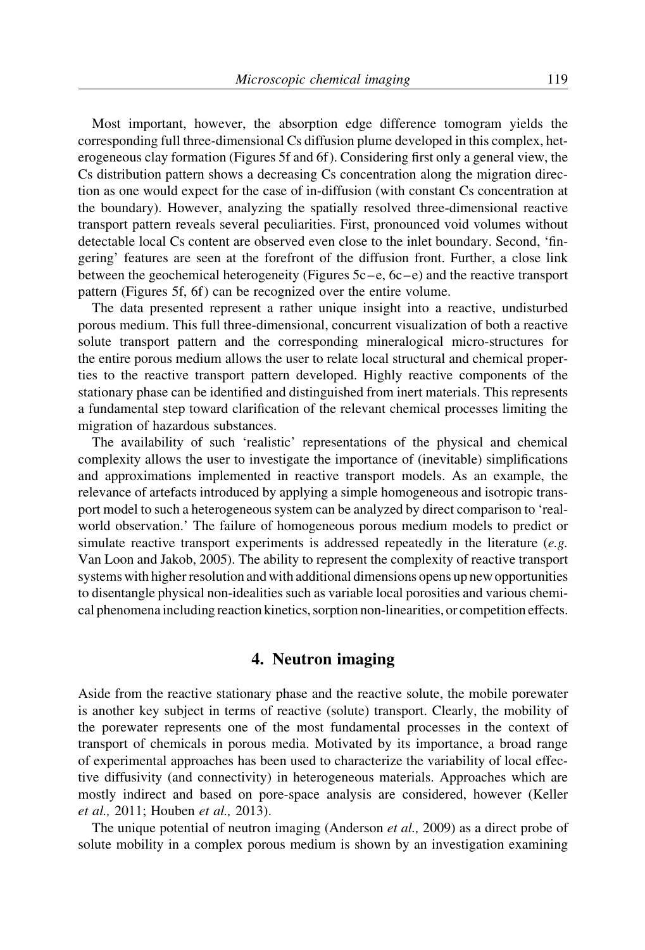Most important, however, the absorption edge difference tomogram yields the corresponding full three-dimensional Cs diffusion plume developed in this complex, heterogeneous clay formation (Figures 5f and 6f ). Considering first only a general view, the Cs distribution pattern shows a decreasing Cs concentration along the migration direction as one would expect for the case of in-diffusion (with constant Cs concentration at the boundary). However, analyzing the spatially resolved three-dimensional reactive transport pattern reveals several peculiarities. First, pronounced void volumes without detectable local Cs content are observed even close to the inlet boundary. Second, 'fingering' features are seen at the forefront of the diffusion front. Further, a close link between the geochemical heterogeneity (Figures 5c –e, 6c –e) and the reactive transport pattern (Figures 5f, 6f) can be recognized over the entire volume.

The data presented represent a rather unique insight into a reactive, undisturbed porous medium. This full three-dimensional, concurrent visualization of both a reactive solute transport pattern and the corresponding mineralogical micro-structures for the entire porous medium allows the user to relate local structural and chemical properties to the reactive transport pattern developed. Highly reactive components of the stationary phase can be identified and distinguished from inert materials. This represents a fundamental step toward clarification of the relevant chemical processes limiting the migration of hazardous substances.

The availability of such 'realistic' representations of the physical and chemical complexity allows the user to investigate the importance of (inevitable) simplifications and approximations implemented in reactive transport models. As an example, the relevance of artefacts introduced by applying a simple homogeneous and isotropic transport model to such a heterogeneous system can be analyzed by direct comparison to 'realworld observation.' The failure of homogeneous porous medium models to predict or simulate reactive transport experiments is addressed repeatedly in the literature  $(e.g.$ Van Loon and Jakob, 2005). The ability to represent the complexity of reactive transport systems with higher resolution and with additional dimensions opens up new opportunities to disentangle physical non-idealities such as variable local porosities and various chemical phenomena including reaction kinetics, sorption non-linearities, or competition effects.

# 4. Neutron imaging

Aside from the reactive stationary phase and the reactive solute, the mobile porewater is another key subject in terms of reactive (solute) transport. Clearly, the mobility of the porewater represents one of the most fundamental processes in the context of transport of chemicals in porous media. Motivated by its importance, a broad range of experimental approaches has been used to characterize the variability of local effective diffusivity (and connectivity) in heterogeneous materials. Approaches which are mostly indirect and based on pore-space analysis are considered, however (Keller et al., 2011; Houben et al., 2013).

The unique potential of neutron imaging (Anderson *et al.*, 2009) as a direct probe of solute mobility in a complex porous medium is shown by an investigation examining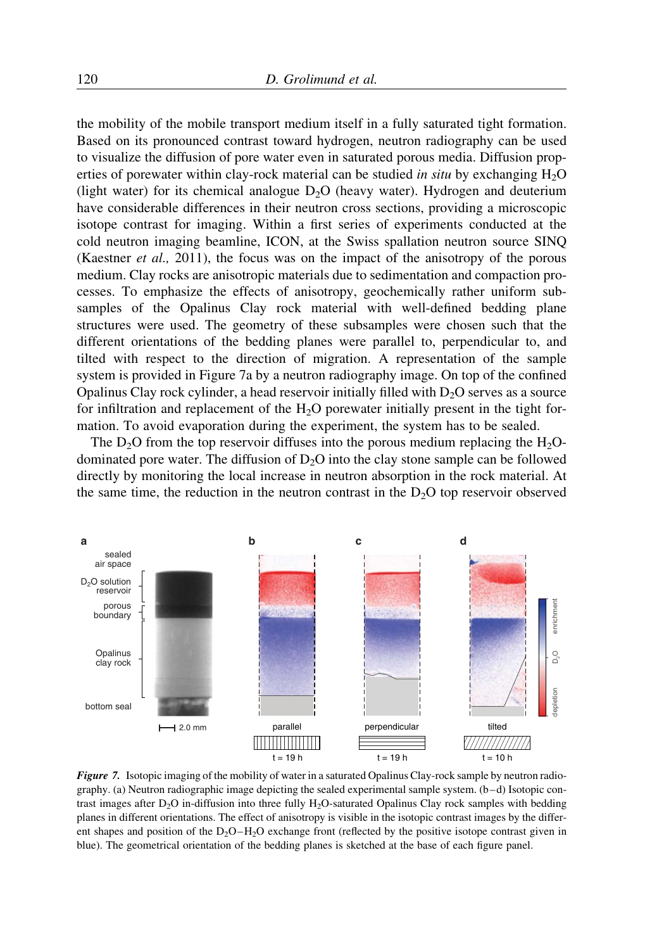the mobility of the mobile transport medium itself in a fully saturated tight formation. Based on its pronounced contrast toward hydrogen, neutron radiography can be used to visualize the diffusion of pore water even in saturated porous media. Diffusion properties of porewater within clay-rock material can be studied in situ by exchanging  $H_2O$ (light water) for its chemical analogue  $D_2O$  (heavy water). Hydrogen and deuterium have considerable differences in their neutron cross sections, providing a microscopic isotope contrast for imaging. Within a first series of experiments conducted at the cold neutron imaging beamline, ICON, at the Swiss spallation neutron source SINQ (Kaestner et al., 2011), the focus was on the impact of the anisotropy of the porous medium. Clay rocks are anisotropic materials due to sedimentation and compaction processes. To emphasize the effects of anisotropy, geochemically rather uniform subsamples of the Opalinus Clay rock material with well-defined bedding plane structures were used. The geometry of these subsamples were chosen such that the different orientations of the bedding planes were parallel to, perpendicular to, and tilted with respect to the direction of migration. A representation of the sample system is provided in Figure 7a by a neutron radiography image. On top of the confined Opalinus Clay rock cylinder, a head reservoir initially filled with  $D<sub>2</sub>O$  serves as a source for infiltration and replacement of the  $H_2O$  porewater initially present in the tight formation. To avoid evaporation during the experiment, the system has to be sealed.

The  $D_2O$  from the top reservoir diffuses into the porous medium replacing the  $H_2O$ dominated pore water. The diffusion of  $D<sub>2</sub>O$  into the clay stone sample can be followed directly by monitoring the local increase in neutron absorption in the rock material. At the same time, the reduction in the neutron contrast in the  $D_2O$  top reservoir observed



Figure 7. Isotopic imaging of the mobility of water in a saturated Opalinus Clay-rock sample by neutron radiography. (a) Neutron radiographic image depicting the sealed experimental sample system. (b-d) Isotopic contrast images after  $D_2O$  in-diffusion into three fully  $H_2O$ -saturated Opalinus Clay rock samples with bedding planes in different orientations. The effect of anisotropy is visible in the isotopic contrast images by the different shapes and position of the  $D_2O-H_2O$  exchange front (reflected by the positive isotope contrast given in blue). The geometrical orientation of the bedding planes is sketched at the base of each figure panel.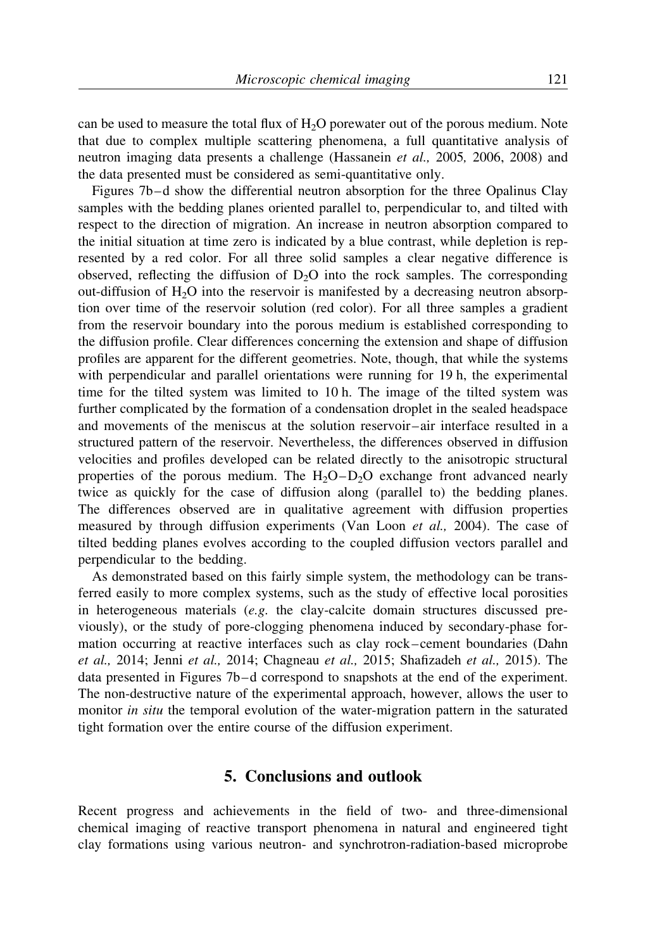can be used to measure the total flux of  $H_2O$  porewater out of the porous medium. Note that due to complex multiple scattering phenomena, a full quantitative analysis of neutron imaging data presents a challenge (Hassanein et al., 2005, 2006, 2008) and the data presented must be considered as semi-quantitative only.

Figures 7b-d show the differential neutron absorption for the three Opalinus Clay samples with the bedding planes oriented parallel to, perpendicular to, and tilted with respect to the direction of migration. An increase in neutron absorption compared to the initial situation at time zero is indicated by a blue contrast, while depletion is represented by a red color. For all three solid samples a clear negative difference is observed, reflecting the diffusion of  $D_2O$  into the rock samples. The corresponding out-diffusion of  $H_2O$  into the reservoir is manifested by a decreasing neutron absorption over time of the reservoir solution (red color). For all three samples a gradient from the reservoir boundary into the porous medium is established corresponding to the diffusion profile. Clear differences concerning the extension and shape of diffusion profiles are apparent for the different geometries. Note, though, that while the systems with perpendicular and parallel orientations were running for 19 h, the experimental time for the tilted system was limited to 10 h. The image of the tilted system was further complicated by the formation of a condensation droplet in the sealed headspace and movements of the meniscus at the solution reservoir –air interface resulted in a structured pattern of the reservoir. Nevertheless, the differences observed in diffusion velocities and profiles developed can be related directly to the anisotropic structural properties of the porous medium. The  $H_2O-D_2O$  exchange front advanced nearly twice as quickly for the case of diffusion along (parallel to) the bedding planes. The differences observed are in qualitative agreement with diffusion properties measured by through diffusion experiments (Van Loon et al., 2004). The case of tilted bedding planes evolves according to the coupled diffusion vectors parallel and perpendicular to the bedding.

As demonstrated based on this fairly simple system, the methodology can be transferred easily to more complex systems, such as the study of effective local porosities in heterogeneous materials  $(e.g.$  the clay-calcite domain structures discussed previously), or the study of pore-clogging phenomena induced by secondary-phase formation occurring at reactive interfaces such as clay rock –cement boundaries (Dahn et al., 2014; Jenni et al., 2014; Chagneau et al., 2015; Shafizadeh et al., 2015). The data presented in Figures 7b– d correspond to snapshots at the end of the experiment. The non-destructive nature of the experimental approach, however, allows the user to monitor *in situ* the temporal evolution of the water-migration pattern in the saturated tight formation over the entire course of the diffusion experiment.

# 5. Conclusions and outlook

Recent progress and achievements in the field of two- and three-dimensional chemical imaging of reactive transport phenomena in natural and engineered tight clay formations using various neutron- and synchrotron-radiation-based microprobe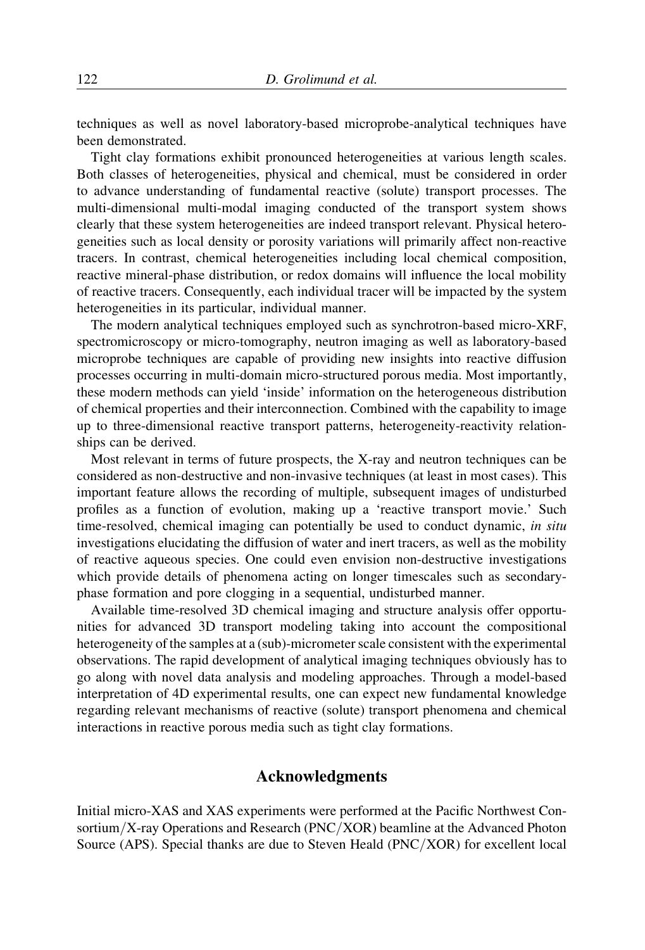techniques as well as novel laboratory-based microprobe-analytical techniques have been demonstrated.

Tight clay formations exhibit pronounced heterogeneities at various length scales. Both classes of heterogeneities, physical and chemical, must be considered in order to advance understanding of fundamental reactive (solute) transport processes. The multi-dimensional multi-modal imaging conducted of the transport system shows clearly that these system heterogeneities are indeed transport relevant. Physical heterogeneities such as local density or porosity variations will primarily affect non-reactive tracers. In contrast, chemical heterogeneities including local chemical composition, reactive mineral-phase distribution, or redox domains will influence the local mobility of reactive tracers. Consequently, each individual tracer will be impacted by the system heterogeneities in its particular, individual manner.

The modern analytical techniques employed such as synchrotron-based micro-XRF, spectromicroscopy or micro-tomography, neutron imaging as well as laboratory-based microprobe techniques are capable of providing new insights into reactive diffusion processes occurring in multi-domain micro-structured porous media. Most importantly, these modern methods can yield 'inside' information on the heterogeneous distribution of chemical properties and their interconnection. Combined with the capability to image up to three-dimensional reactive transport patterns, heterogeneity-reactivity relationships can be derived.

Most relevant in terms of future prospects, the X-ray and neutron techniques can be considered as non-destructive and non-invasive techniques (at least in most cases). This important feature allows the recording of multiple, subsequent images of undisturbed profiles as a function of evolution, making up a 'reactive transport movie.' Such time-resolved, chemical imaging can potentially be used to conduct dynamic, in situ investigations elucidating the diffusion of water and inert tracers, as well as the mobility of reactive aqueous species. One could even envision non-destructive investigations which provide details of phenomena acting on longer timescales such as secondaryphase formation and pore clogging in a sequential, undisturbed manner.

Available time-resolved 3D chemical imaging and structure analysis offer opportunities for advanced 3D transport modeling taking into account the compositional heterogeneity of the samples at a (sub)-micrometer scale consistent with the experimental observations. The rapid development of analytical imaging techniques obviously has to go along with novel data analysis and modeling approaches. Through a model-based interpretation of 4D experimental results, one can expect new fundamental knowledge regarding relevant mechanisms of reactive (solute) transport phenomena and chemical interactions in reactive porous media such as tight clay formations.

# Acknowledgments

Initial micro-XAS and XAS experiments were performed at the Pacific Northwest Consortium/X-ray Operations and Research (PNC/XOR) beamline at the Advanced Photon Source (APS). Special thanks are due to Steven Heald (PNC/XOR) for excellent local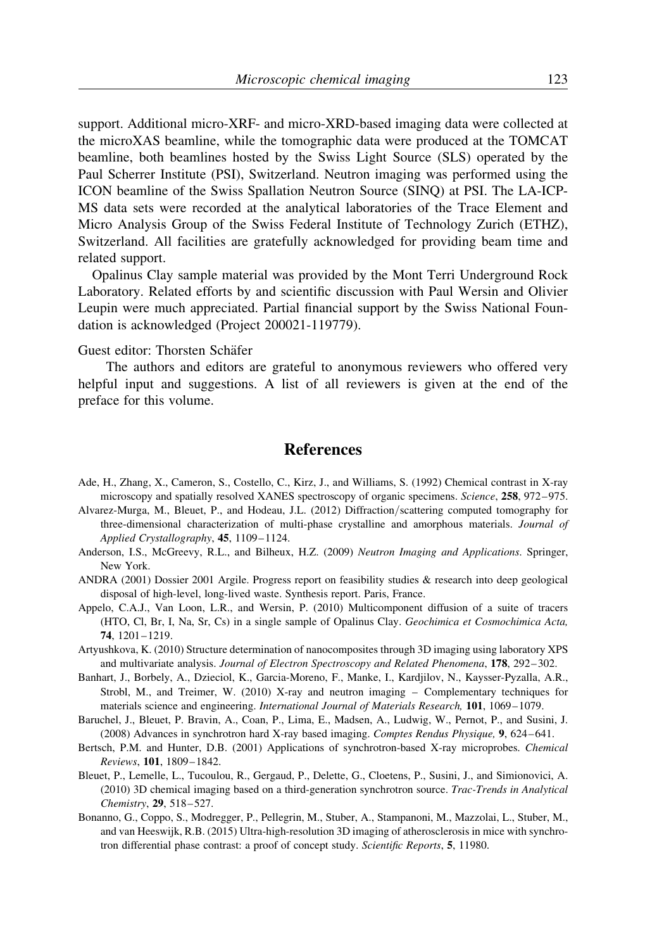support. Additional micro-XRF- and micro-XRD-based imaging data were collected at the microXAS beamline, while the tomographic data were produced at the TOMCAT beamline, both beamlines hosted by the Swiss Light Source (SLS) operated by the Paul Scherrer Institute (PSI), Switzerland. Neutron imaging was performed using the ICON beamline of the Swiss Spallation Neutron Source (SINQ) at PSI. The LA-ICP-MS data sets were recorded at the analytical laboratories of the Trace Element and Micro Analysis Group of the Swiss Federal Institute of Technology Zurich (ETHZ), Switzerland. All facilities are gratefully acknowledged for providing beam time and related support.

Opalinus Clay sample material was provided by the Mont Terri Underground Rock Laboratory. Related efforts by and scientific discussion with Paul Wersin and Olivier Leupin were much appreciated. Partial financial support by the Swiss National Foundation is acknowledged (Project 200021-119779).

#### Guest editor: Thorsten Schäfer

The authors and editors are grateful to anonymous reviewers who offered very helpful input and suggestions. A list of all reviewers is given at the end of the preface for this volume.

# References

- Ade, H., Zhang, X., Cameron, S., Costello, C., Kirz, J., and Williams, S. (1992) Chemical contrast in X-ray microscopy and spatially resolved XANES spectroscopy of organic specimens. Science, 258, 972–975.
- Alvarez-Murga, M., Bleuet, P., and Hodeau, J.L. (2012) Diffraction/scattering computed tomography for three-dimensional characterization of multi-phase crystalline and amorphous materials. Journal of Applied Crystallography, 45, 1109-1124.
- Anderson, I.S., McGreevy, R.L., and Bilheux, H.Z. (2009) Neutron Imaging and Applications. Springer, New York.
- ANDRA (2001) Dossier 2001 Argile. Progress report on feasibility studies & research into deep geological disposal of high-level, long-lived waste. Synthesis report. Paris, France.
- Appelo, C.A.J., Van Loon, L.R., and Wersin, P. (2010) Multicomponent diffusion of a suite of tracers (HTO, Cl, Br, I, Na, Sr, Cs) in a single sample of Opalinus Clay. Geochimica et Cosmochimica Acta, 74, 1201–1219.
- Artyushkova, K. (2010) Structure determination of nanocomposites through 3D imaging using laboratory XPS and multivariate analysis. Journal of Electron Spectroscopy and Related Phenomena, 178, 292– 302.
- Banhart, J., Borbely, A., Dzieciol, K., Garcia-Moreno, F., Manke, I., Kardjilov, N., Kaysser-Pyzalla, A.R., Strobl, M., and Treimer, W. (2010) X-ray and neutron imaging – Complementary techniques for materials science and engineering. International Journal of Materials Research, 101, 1069–1079.
- Baruchel, J., Bleuet, P. Bravin, A., Coan, P., Lima, E., Madsen, A., Ludwig, W., Pernot, P., and Susini, J. (2008) Advances in synchrotron hard X-ray based imaging. Comptes Rendus Physique, 9, 624–641.
- Bertsch, P.M. and Hunter, D.B. (2001) Applications of synchrotron-based X-ray microprobes. Chemical Reviews, 101, 1809–1842.
- Bleuet, P., Lemelle, L., Tucoulou, R., Gergaud, P., Delette, G., Cloetens, P., Susini, J., and Simionovici, A. (2010) 3D chemical imaging based on a third-generation synchrotron source. Trac-Trends in Analytical Chemistry, 29, 518–527.
- Bonanno, G., Coppo, S., Modregger, P., Pellegrin, M., Stuber, A., Stampanoni, M., Mazzolai, L., Stuber, M., and van Heeswijk, R.B. (2015) Ultra-high-resolution 3D imaging of atherosclerosis in mice with synchrotron differential phase contrast: a proof of concept study. Scientific Reports, 5, 11980.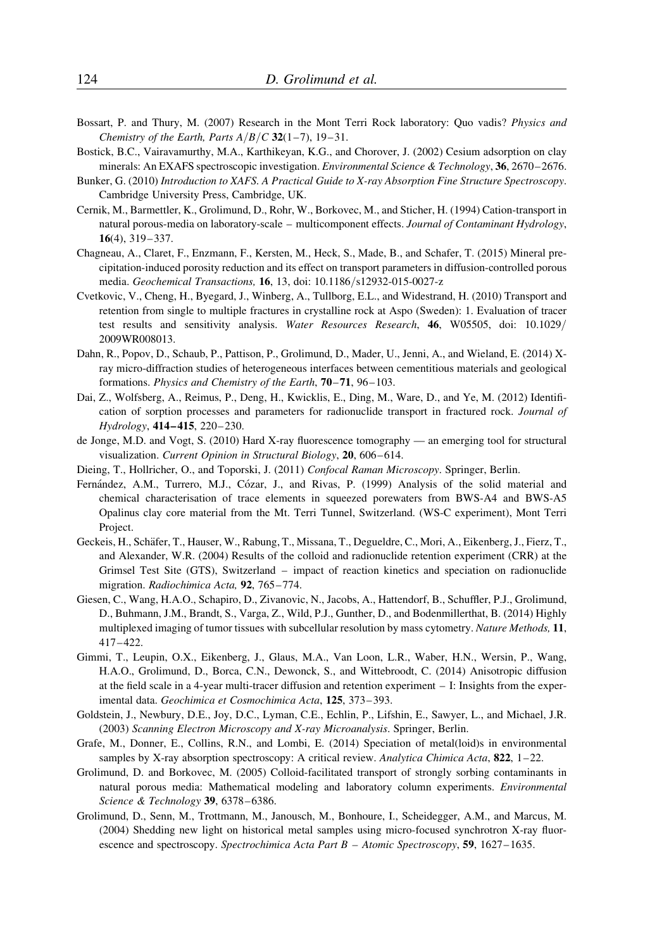- Bossart, P. and Thury, M. (2007) Research in the Mont Terri Rock laboratory: Quo vadis? Physics and Chemistry of the Earth, Parts  $A/B/C$  32(1-7), 19-31.
- Bostick, B.C., Vairavamurthy, M.A., Karthikeyan, K.G., and Chorover, J. (2002) Cesium adsorption on clay minerals: An EXAFS spectroscopic investigation. *Environmental Science & Technology*, 36, 2670–2676.
- Bunker, G. (2010) Introduction to XAFS. A Practical Guide to X-ray Absorption Fine Structure Spectroscopy. Cambridge University Press, Cambridge, UK.
- Cernik, M., Barmettler, K., Grolimund, D., Rohr, W., Borkovec, M., and Sticher, H. (1994) Cation-transport in natural porous-media on laboratory-scale – multicomponent effects. Journal of Contaminant Hydrology, 16(4), 319–337.
- Chagneau, A., Claret, F., Enzmann, F., Kersten, M., Heck, S., Made, B., and Schafer, T. (2015) Mineral precipitation-induced porosity reduction and its effect on transport parameters in diffusion-controlled porous media. Geochemical Transactions, 16, 13, doi: 10.1186/s12932-015-0027-z
- Cvetkovic, V., Cheng, H., Byegard, J., Winberg, A., Tullborg, E.L., and Widestrand, H. (2010) Transport and retention from single to multiple fractures in crystalline rock at Aspo (Sweden): 1. Evaluation of tracer test results and sensitivity analysis. Water Resources Research, 46, W05505, doi: 10.1029/ 2009WR008013.
- Dahn, R., Popov, D., Schaub, P., Pattison, P., Grolimund, D., Mader, U., Jenni, A., and Wieland, E. (2014) Xray micro-diffraction studies of heterogeneous interfaces between cementitious materials and geological formations. Physics and Chemistry of the Earth, 70–71, 96–103.
- Dai, Z., Wolfsberg, A., Reimus, P., Deng, H., Kwicklis, E., Ding, M., Ware, D., and Ye, M. (2012) Identification of sorption processes and parameters for radionuclide transport in fractured rock. Journal of Hydrology, 414-415, 220-230.
- de Jonge, M.D. and Vogt, S. (2010) Hard X-ray fluorescence tomography an emerging tool for structural visualization. Current Opinion in Structural Biology, 20, 606-614.
- Dieing, T., Hollricher, O., and Toporski, J. (2011) Confocal Raman Microscopy. Springer, Berlin.
- Fernández, A.M., Turrero, M.J., Cózar, J., and Rivas, P. (1999) Analysis of the solid material and chemical characterisation of trace elements in squeezed porewaters from BWS-A4 and BWS-A5 Opalinus clay core material from the Mt. Terri Tunnel, Switzerland. (WS-C experiment), Mont Terri Project.
- Geckeis, H., Schäfer, T., Hauser, W., Rabung, T., Missana, T., Degueldre, C., Mori, A., Eikenberg, J., Fierz, T., and Alexander, W.R. (2004) Results of the colloid and radionuclide retention experiment (CRR) at the Grimsel Test Site (GTS), Switzerland – impact of reaction kinetics and speciation on radionuclide migration. Radiochimica Acta, 92, 765–774.
- Giesen, C., Wang, H.A.O., Schapiro, D., Zivanovic, N., Jacobs, A., Hattendorf, B., Schuffler, P.J., Grolimund, D., Buhmann, J.M., Brandt, S., Varga, Z., Wild, P.J., Gunther, D., and Bodenmillerthat, B. (2014) Highly multiplexed imaging of tumor tissues with subcellular resolution by mass cytometry. Nature Methods, 11, 417–422.
- Gimmi, T., Leupin, O.X., Eikenberg, J., Glaus, M.A., Van Loon, L.R., Waber, H.N., Wersin, P., Wang, H.A.O., Grolimund, D., Borca, C.N., Dewonck, S., and Wittebroodt, C. (2014) Anisotropic diffusion at the field scale in a 4-year multi-tracer diffusion and retention experiment – I: Insights from the experimental data. Geochimica et Cosmochimica Acta, 125, 373– 393.
- Goldstein, J., Newbury, D.E., Joy, D.C., Lyman, C.E., Echlin, P., Lifshin, E., Sawyer, L., and Michael, J.R. (2003) Scanning Electron Microscopy and X-ray Microanalysis. Springer, Berlin.
- Grafe, M., Donner, E., Collins, R.N., and Lombi, E. (2014) Speciation of metal(loid)s in environmental samples by X-ray absorption spectroscopy: A critical review. Analytica Chimica Acta, 822, 1-22.
- Grolimund, D. and Borkovec, M. (2005) Colloid-facilitated transport of strongly sorbing contaminants in natural porous media: Mathematical modeling and laboratory column experiments. Environmental Science & Technology 39, 6378-6386.
- Grolimund, D., Senn, M., Trottmann, M., Janousch, M., Bonhoure, I., Scheidegger, A.M., and Marcus, M. (2004) Shedding new light on historical metal samples using micro-focused synchrotron X-ray fluorescence and spectroscopy. Spectrochimica Acta Part B – Atomic Spectroscopy, 59, 1627–1635.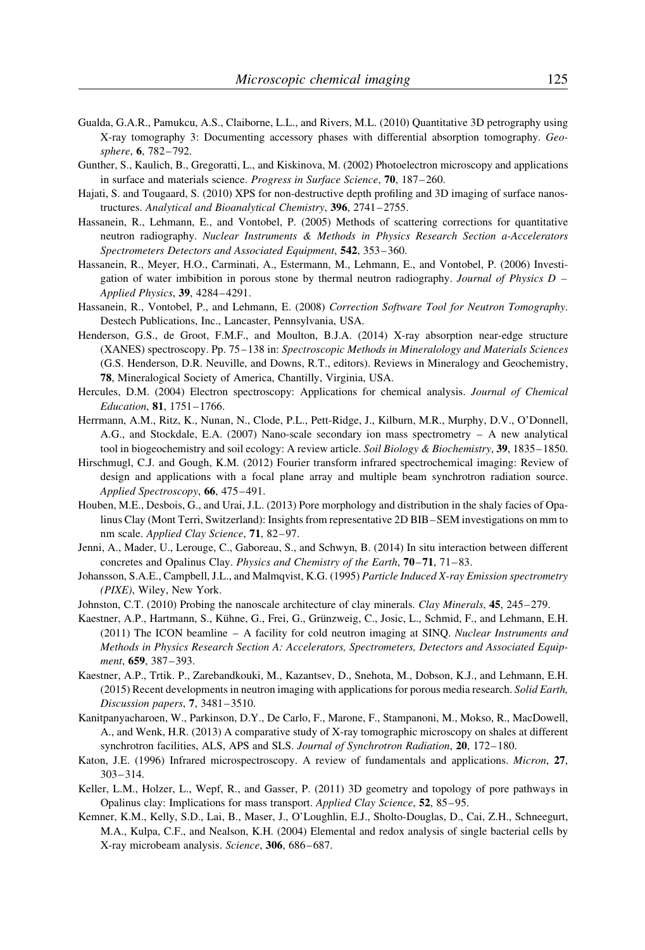- Gualda, G.A.R., Pamukcu, A.S., Claiborne, L.L., and Rivers, M.L. (2010) Quantitative 3D petrography using X-ray tomography 3: Documenting accessory phases with differential absorption tomography. Geosphere, 6, 782–792.
- Gunther, S., Kaulich, B., Gregoratti, L., and Kiskinova, M. (2002) Photoelectron microscopy and applications in surface and materials science. Progress in Surface Science, 70, 187-260.
- Hajati, S. and Tougaard, S. (2010) XPS for non-destructive depth profiling and 3D imaging of surface nanostructures. Analytical and Bioanalytical Chemistry, 396, 2741–2755.
- Hassanein, R., Lehmann, E., and Vontobel, P. (2005) Methods of scattering corrections for quantitative neutron radiography. Nuclear Instruments & Methods in Physics Research Section a-Accelerators Spectrometers Detectors and Associated Equipment, 542, 353-360.
- Hassanein, R., Meyer, H.O., Carminati, A., Estermann, M., Lehmann, E., and Vontobel, P. (2006) Investigation of water imbibition in porous stone by thermal neutron radiography. Journal of Physics  $D -$ Applied Physics, 39, 4284–4291.
- Hassanein, R., Vontobel, P., and Lehmann, E. (2008) Correction Software Tool for Neutron Tomography. Destech Publications, Inc., Lancaster, Pennsylvania, USA.
- Henderson, G.S., de Groot, F.M.F., and Moulton, B.J.A. (2014) X-ray absorption near-edge structure (XANES) spectroscopy. Pp. 75–138 in: Spectroscopic Methods in Mineralology and Materials Sciences (G.S. Henderson, D.R. Neuville, and Downs, R.T., editors). Reviews in Mineralogy and Geochemistry, 78, Mineralogical Society of America, Chantilly, Virginia, USA.
- Hercules, D.M. (2004) Electron spectroscopy: Applications for chemical analysis. Journal of Chemical Education, 81, 1751–1766.
- Herrmann, A.M., Ritz, K., Nunan, N., Clode, P.L., Pett-Ridge, J., Kilburn, M.R., Murphy, D.V., O'Donnell, A.G., and Stockdale, E.A. (2007) Nano-scale secondary ion mass spectrometry – A new analytical tool in biogeochemistry and soil ecology: A review article. Soil Biology & Biochemistry, 39, 1835–1850.
- Hirschmugl, C.J. and Gough, K.M. (2012) Fourier transform infrared spectrochemical imaging: Review of design and applications with a focal plane array and multiple beam synchrotron radiation source. Applied Spectroscopy, 66, 475-491.
- Houben, M.E., Desbois, G., and Urai, J.L. (2013) Pore morphology and distribution in the shaly facies of Opalinus Clay (Mont Terri, Switzerland): Insights from representative 2D BIB–SEM investigations on mm to nm scale. Applied Clay Science, 71, 82–97.
- Jenni, A., Mader, U., Lerouge, C., Gaboreau, S., and Schwyn, B. (2014) In situ interaction between different concretes and Opalinus Clay. Physics and Chemistry of the Earth, 70-71, 71-83.
- Johansson, S.A.E., Campbell, J.L., and Malmqvist, K.G. (1995) Particle Induced X-ray Emission spectrometry (PIXE), Wiley, New York.
- Johnston, C.T. (2010) Probing the nanoscale architecture of clay minerals. Clay Minerals, 45, 245–279.
- Kaestner, A.P., Hartmann, S., Kühne, G., Frei, G., Grünzweig, C., Josic, L., Schmid, F., and Lehmann, E.H. (2011) The ICON beamline – A facility for cold neutron imaging at SINQ. Nuclear Instruments and Methods in Physics Research Section A: Accelerators, Spectrometers, Detectors and Associated Equipment, 659, 387–393.
- Kaestner, A.P., Trtik. P., Zarebandkouki, M., Kazantsev, D., Snehota, M., Dobson, K.J., and Lehmann, E.H. (2015) Recent developments in neutron imaging with applications for porous media research. Solid Earth, Discussion papers, 7, 3481–3510.
- Kanitpanyacharoen, W., Parkinson, D.Y., De Carlo, F., Marone, F., Stampanoni, M., Mokso, R., MacDowell, A., and Wenk, H.R. (2013) A comparative study of X-ray tomographic microscopy on shales at different synchrotron facilities, ALS, APS and SLS. Journal of Synchrotron Radiation, 20, 172–180.
- Katon, J.E. (1996) Infrared microspectroscopy. A review of fundamentals and applications. Micron, 27, 303– 314.
- Keller, L.M., Holzer, L., Wepf, R., and Gasser, P. (2011) 3D geometry and topology of pore pathways in Opalinus clay: Implications for mass transport. Applied Clay Science, 52, 85–95.
- Kemner, K.M., Kelly, S.D., Lai, B., Maser, J., O'Loughlin, E.J., Sholto-Douglas, D., Cai, Z.H., Schneegurt, M.A., Kulpa, C.F., and Nealson, K.H. (2004) Elemental and redox analysis of single bacterial cells by X-ray microbeam analysis. Science, 306, 686-687.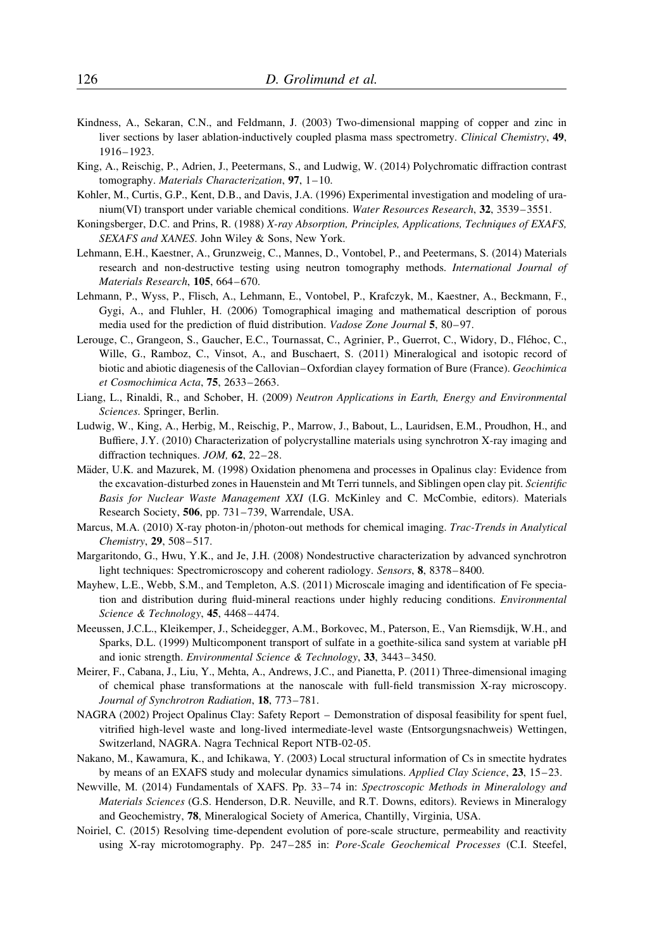- Kindness, A., Sekaran, C.N., and Feldmann, J. (2003) Two-dimensional mapping of copper and zinc in liver sections by laser ablation-inductively coupled plasma mass spectrometry. Clinical Chemistry, 49, 1916–1923.
- King, A., Reischig, P., Adrien, J., Peetermans, S., and Ludwig, W. (2014) Polychromatic diffraction contrast tomography. Materials Characterization,  $97$ ,  $1-10$ .
- Kohler, M., Curtis, G.P., Kent, D.B., and Davis, J.A. (1996) Experimental investigation and modeling of uranium(VI) transport under variable chemical conditions. Water Resources Research, 32, 3539–3551.
- Koningsberger, D.C. and Prins, R. (1988) X-ray Absorption, Principles, Applications, Techniques of EXAFS, SEXAFS and XANES. John Wiley & Sons, New York.
- Lehmann, E.H., Kaestner, A., Grunzweig, C., Mannes, D., Vontobel, P., and Peetermans, S. (2014) Materials research and non-destructive testing using neutron tomography methods. International Journal of Materials Research, 105, 664 –670.
- Lehmann, P., Wyss, P., Flisch, A., Lehmann, E., Vontobel, P., Krafczyk, M., Kaestner, A., Beckmann, F., Gygi, A., and Fluhler, H. (2006) Tomographical imaging and mathematical description of porous media used for the prediction of fluid distribution. *Vadose Zone Journal* 5, 80–97.
- Lerouge, C., Grangeon, S., Gaucher, E.C., Tournassat, C., Agrinier, P., Guerrot, C., Widory, D., Fléhoc, C., Wille, G., Ramboz, C., Vinsot, A., and Buschaert, S. (2011) Mineralogical and isotopic record of biotic and abiotic diagenesis of the Callovian–Oxfordian clayey formation of Bure (France). Geochimica et Cosmochimica Acta, 75, 2633–2663.
- Liang, L., Rinaldi, R., and Schober, H. (2009) Neutron Applications in Earth, Energy and Environmental Sciences. Springer, Berlin.
- Ludwig, W., King, A., Herbig, M., Reischig, P., Marrow, J., Babout, L., Lauridsen, E.M., Proudhon, H., and Buffiere, J.Y. (2010) Characterization of polycrystalline materials using synchrotron X-ray imaging and diffraction techniques. JOM, 62, 22–28.
- Mäder, U.K. and Mazurek, M. (1998) Oxidation phenomena and processes in Opalinus clay: Evidence from the excavation-disturbed zones in Hauenstein and Mt Terri tunnels, and Siblingen open clay pit. Scientific Basis for Nuclear Waste Management XXI (I.G. McKinley and C. McCombie, editors). Materials Research Society, 506, pp. 731–739, Warrendale, USA.
- Marcus, M.A. (2010) X-ray photon-in/photon-out methods for chemical imaging. Trac-Trends in Analytical Chemistry, 29, 508-517.
- Margaritondo, G., Hwu, Y.K., and Je, J.H. (2008) Nondestructive characterization by advanced synchrotron light techniques: Spectromicroscopy and coherent radiology. Sensors, 8, 8378– 8400.
- Mayhew, L.E., Webb, S.M., and Templeton, A.S. (2011) Microscale imaging and identification of Fe speciation and distribution during fluid-mineral reactions under highly reducing conditions. *Environmental* Science & Technology, **45**, 4468-4474.
- Meeussen, J.C.L., Kleikemper, J., Scheidegger, A.M., Borkovec, M., Paterson, E., Van Riemsdijk, W.H., and Sparks, D.L. (1999) Multicomponent transport of sulfate in a goethite-silica sand system at variable pH and ionic strength. Environmental Science & Technology, 33, 3443–3450.
- Meirer, F., Cabana, J., Liu, Y., Mehta, A., Andrews, J.C., and Pianetta, P. (2011) Three-dimensional imaging of chemical phase transformations at the nanoscale with full-field transmission X-ray microscopy. Journal of Synchrotron Radiation, 18, 773-781.
- NAGRA (2002) Project Opalinus Clay: Safety Report Demonstration of disposal feasibility for spent fuel, vitrified high-level waste and long-lived intermediate-level waste (Entsorgungsnachweis) Wettingen, Switzerland, NAGRA. Nagra Technical Report NTB-02-05.
- Nakano, M., Kawamura, K., and Ichikawa, Y. (2003) Local structural information of Cs in smectite hydrates by means of an EXAFS study and molecular dynamics simulations. Applied Clay Science, 23, 15–23.
- Newville, M. (2014) Fundamentals of XAFS. Pp. 33-74 in: Spectroscopic Methods in Mineralology and Materials Sciences (G.S. Henderson, D.R. Neuville, and R.T. Downs, editors). Reviews in Mineralogy and Geochemistry, 78, Mineralogical Society of America, Chantilly, Virginia, USA.
- Noiriel, C. (2015) Resolving time-dependent evolution of pore-scale structure, permeability and reactivity using X-ray microtomography. Pp. 247–285 in: Pore-Scale Geochemical Processes (C.I. Steefel,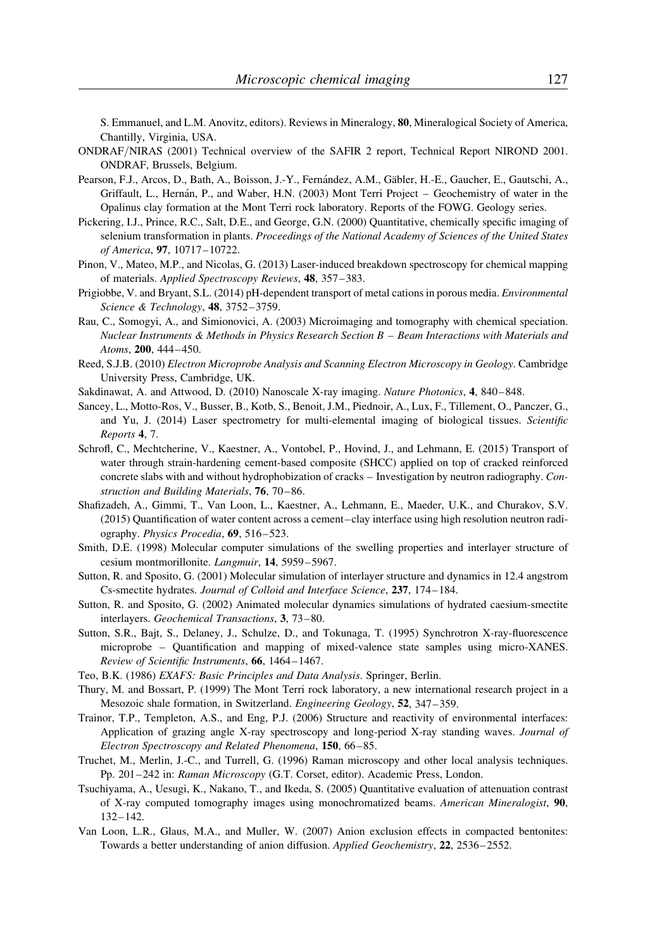S. Emmanuel, and L.M. Anovitz, editors). Reviews in Mineralogy, 80, Mineralogical Society of America, Chantilly, Virginia, USA.

- ONDRAF/NIRAS (2001) Technical overview of the SAFIR 2 report, Technical Report NIROND 2001. ONDRAF, Brussels, Belgium.
- Pearson, F.J., Arcos, D., Bath, A., Boisson, J.-Y., Fernández, A.M., Gäbler, H.-E., Gaucher, E., Gautschi, A., Griffault, L., Hernán, P., and Waber, H.N. (2003) Mont Terri Project – Geochemistry of water in the Opalinus clay formation at the Mont Terri rock laboratory. Reports of the FOWG. Geology series.
- Pickering, I.J., Prince, R.C., Salt, D.E., and George, G.N. (2000) Quantitative, chemically specific imaging of selenium transformation in plants. Proceedings of the National Academy of Sciences of the United States of America, 97, 10717–10722.
- Pinon, V., Mateo, M.P., and Nicolas, G. (2013) Laser-induced breakdown spectroscopy for chemical mapping of materials. Applied Spectroscopy Reviews, 48, 357–383.
- Prigiobbe, V. and Bryant, S.L. (2014) pH-dependent transport of metal cations in porous media. Environmental Science & Technology, 48, 3752–3759.
- Rau, C., Somogyi, A., and Simionovici, A. (2003) Microimaging and tomography with chemical speciation. Nuclear Instruments & Methods in Physics Research Section B – Beam Interactions with Materials and Atoms, 200, 444–450.
- Reed, S.J.B. (2010) Electron Microprobe Analysis and Scanning Electron Microscopy in Geology. Cambridge University Press, Cambridge, UK.
- Sakdinawat, A. and Attwood, D. (2010) Nanoscale X-ray imaging. Nature Photonics, 4, 840–848.
- Sancey, L., Motto-Ros, V., Busser, B., Kotb, S., Benoit, J.M., Piednoir, A., Lux, F., Tillement, O., Panczer, G., and Yu, J. (2014) Laser spectrometry for multi-elemental imaging of biological tissues. Scientific Reports 4, 7.
- Schrofl, C., Mechtcherine, V., Kaestner, A., Vontobel, P., Hovind, J., and Lehmann, E. (2015) Transport of water through strain-hardening cement-based composite (SHCC) applied on top of cracked reinforced concrete slabs with and without hydrophobization of cracks – Investigation by neutron radiography. Construction and Building Materials, 76, 70-86.
- Shafizadeh, A., Gimmi, T., Van Loon, L., Kaestner, A., Lehmann, E., Maeder, U.K., and Churakov, S.V. (2015) Quantification of water content across a cement–clay interface using high resolution neutron radiography. Physics Procedia, 69, 516-523.
- Smith, D.E. (1998) Molecular computer simulations of the swelling properties and interlayer structure of cesium montmorillonite. Langmuir, 14, 5959–5967.
- Sutton, R. and Sposito, G. (2001) Molecular simulation of interlayer structure and dynamics in 12.4 angstrom Cs-smectite hydrates. Journal of Colloid and Interface Science, 237, 174–184.
- Sutton, R. and Sposito, G. (2002) Animated molecular dynamics simulations of hydrated caesium-smectite interlayers. Geochemical Transactions, 3, 73–80.
- Sutton, S.R., Bajt, S., Delaney, J., Schulze, D., and Tokunaga, T. (1995) Synchrotron X-ray-fluorescence microprobe – Quantification and mapping of mixed-valence state samples using micro-XANES. Review of Scientific Instruments, 66, 1464– 1467.
- Teo, B.K. (1986) EXAFS: Basic Principles and Data Analysis. Springer, Berlin.
- Thury, M. and Bossart, P. (1999) The Mont Terri rock laboratory, a new international research project in a Mesozoic shale formation, in Switzerland. Engineering Geology, 52, 347–359.
- Trainor, T.P., Templeton, A.S., and Eng, P.J. (2006) Structure and reactivity of environmental interfaces: Application of grazing angle X-ray spectroscopy and long-period X-ray standing waves. Journal of Electron Spectroscopy and Related Phenomena, 150, 66–85.
- Truchet, M., Merlin, J.-C., and Turrell, G. (1996) Raman microscopy and other local analysis techniques. Pp. 201–242 in: Raman Microscopy (G.T. Corset, editor). Academic Press, London.
- Tsuchiyama, A., Uesugi, K., Nakano, T., and Ikeda, S. (2005) Quantitative evaluation of attenuation contrast of X-ray computed tomography images using monochromatized beams. American Mineralogist, 90, 132– 142.
- Van Loon, L.R., Glaus, M.A., and Muller, W. (2007) Anion exclusion effects in compacted bentonites: Towards a better understanding of anion diffusion. Applied Geochemistry, 22, 2536–2552.